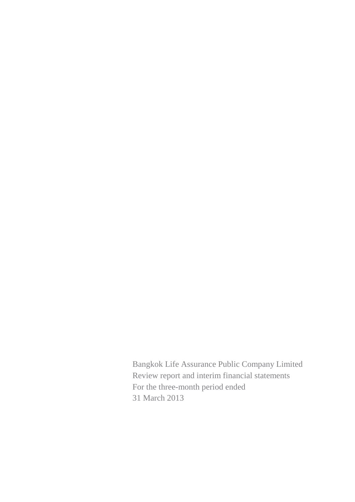Bangkok Life Assurance Public Company Limited Review report and interim financial statements For the three-month period ended 31 March 2013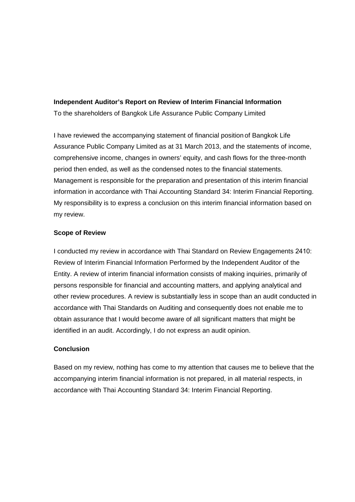### **Independent Auditor's Report on Review of Interim Financial Information**

To the shareholders of Bangkok Life Assurance Public Company Limited

I have reviewed the accompanying statement of financial position of Bangkok Life Assurance Public Company Limited as at 31 March 2013, and the statements of income, comprehensive income, changes in owners' equity, and cash flows for the three-month period then ended, as well as the condensed notes to the financial statements. Management is responsible for the preparation and presentation of this interim financial information in accordance with Thai Accounting Standard 34: Interim Financial Reporting. My responsibility is to express a conclusion on this interim financial information based on my review.

## **Scope of Review**

I conducted my review in accordance with Thai Standard on Review Engagements 2410: Review of Interim Financial Information Performed by the Independent Auditor of the Entity. A review of interim financial information consists of making inquiries, primarily of persons responsible for financial and accounting matters, and applying analytical and other review procedures. A review is substantially less in scope than an audit conducted in accordance with Thai Standards on Auditing and consequently does not enable me to obtain assurance that I would become aware of all significant matters that might be identified in an audit. Accordingly, I do not express an audit opinion.

### **Conclusion**

Based on my review, nothing has come to my attention that causes me to believe that the accompanying interim financial information is not prepared, in all material respects, in accordance with Thai Accounting Standard 34: Interim Financial Reporting.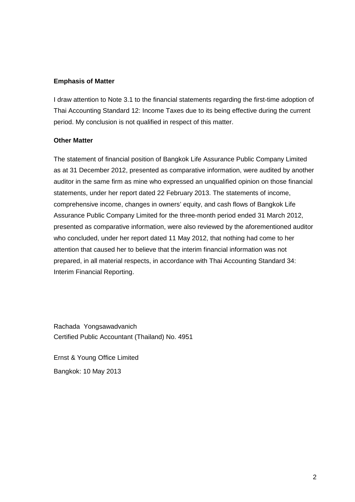### **Emphasis of Matter**

I draw attention to Note 3.1 to the financial statements regarding the first-time adoption of Thai Accounting Standard 12: Income Taxes due to its being effective during the current period. My conclusion is not qualified in respect of this matter.

### **Other Matter**

The statement of financial position of Bangkok Life Assurance Public Company Limited as at 31 December 2012, presented as comparative information, were audited by another auditor in the same firm as mine who expressed an unqualified opinion on those financial statements, under her report dated 22 February 2013. The statements of income, comprehensive income, changes in owners' equity, and cash flows of Bangkok Life Assurance Public Company Limited for the three-month period ended 31 March 2012, presented as comparative information, were also reviewed by the aforementioned auditor who concluded, under her report dated 11 May 2012, that nothing had come to her attention that caused her to believe that the interim financial information was not prepared, in all material respects, in accordance with Thai Accounting Standard 34: Interim Financial Reporting.

Rachada Yongsawadvanich Certified Public Accountant (Thailand) No. 4951

Ernst & Young Office Limited Bangkok: 10 May 2013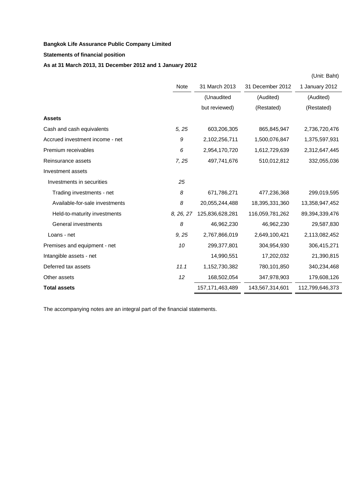### **Statements of financial position**

## **As at 31 March 2013, 31 December 2012 and 1 January 2012**

|                                 |           |                    |                  | (Unit: Baht)    |
|---------------------------------|-----------|--------------------|------------------|-----------------|
|                                 | Note      | 31 March 2013      | 31 December 2012 | 1 January 2012  |
|                                 |           | (Unaudited         | (Audited)        | (Audited)       |
|                                 |           | but reviewed)      | (Restated)       | (Restated)      |
| <b>Assets</b>                   |           |                    |                  |                 |
| Cash and cash equivalents       | 5, 25     | 603,206,305        | 865,845,947      | 2,736,720,476   |
| Accrued investment income - net | 9         | 2,102,256,711      | 1,500,076,847    | 1,375,597,931   |
| Premium receivables             | 6         | 2,954,170,720      | 1,612,729,639    | 2,312,647,445   |
| Reinsurance assets              | 7,25      | 497,741,676        | 510,012,812      | 332,055,036     |
| Investment assets               |           |                    |                  |                 |
| Investments in securities       | 25        |                    |                  |                 |
| Trading investments - net       | 8         | 671,786,271        | 477,236,368      | 299,019,595     |
| Available-for-sale investments  | 8         | 20,055,244,488     | 18,395,331,360   | 13,358,947,452  |
| Held-to-maturity investments    | 8, 26, 27 | 125,836,628,281    | 116,059,781,262  | 89,394,339,476  |
| General investments             | 8         | 46,962,230         | 46,962,230       | 29,587,830      |
| Loans - net                     | 9, 25     | 2,767,866,019      | 2,649,100,421    | 2,113,082,452   |
| Premises and equipment - net    | 10        | 299,377,801        | 304,954,930      | 306,415,271     |
| Intangible assets - net         |           | 14,990,551         | 17,202,032       | 21,390,815      |
| Deferred tax assets             | 11.1      | 1,152,730,382      | 780,101,850      | 340,234,468     |
| Other assets                    | 12        | 168,502,054        | 347,978,903      | 179,608,126     |
| <b>Total assets</b>             |           | 157, 171, 463, 489 | 143,567,314,601  | 112,799,646,373 |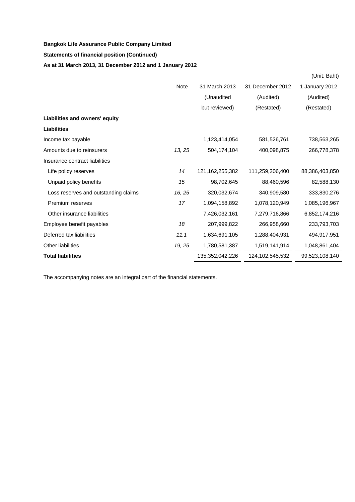### **Statements of financial position (Continued)**

## **As at 31 March 2013, 31 December 2012 and 1 January 2012**

|                                      |        |                    |                    | (Unit: Baht)   |
|--------------------------------------|--------|--------------------|--------------------|----------------|
|                                      | Note   | 31 March 2013      | 31 December 2012   | 1 January 2012 |
|                                      |        | (Unaudited         | (Audited)          | (Audited)      |
|                                      |        | but reviewed)      | (Restated)         | (Restated)     |
| Liabilities and owners' equity       |        |                    |                    |                |
| <b>Liabilities</b>                   |        |                    |                    |                |
| Income tax payable                   |        | 1,123,414,054      | 581,526,761        | 738,563,265    |
| Amounts due to reinsurers            | 13, 25 | 504,174,104        | 400,098,875        | 266,778,378    |
| Insurance contract liabilities       |        |                    |                    |                |
| Life policy reserves                 | 14     | 121, 162, 255, 382 | 111,259,206,400    | 88,386,403,850 |
| Unpaid policy benefits               | 15     | 98,702,645         | 88,460,596         | 82,588,130     |
| Loss reserves and outstanding claims | 16, 25 | 320,032,674        | 340,909,580        | 333,830,276    |
| Premium reserves                     | 17     | 1,094,158,892      | 1,078,120,949      | 1,085,196,967  |
| Other insurance liabilities          |        | 7,426,032,161      | 7,279,716,866      | 6,852,174,216  |
| Employee benefit payables            | 18     | 207,999,822        | 266,958,660        | 233,793,703    |
| Deferred tax liabilities             | 11.1   | 1,634,691,105      | 1,288,404,931      | 494,917,951    |
| <b>Other liabilities</b>             | 19, 25 | 1,780,581,387      | 1,519,141,914      | 1,048,861,404  |
| <b>Total liabilities</b>             |        | 135,352,042,226    | 124, 102, 545, 532 | 99,523,108,140 |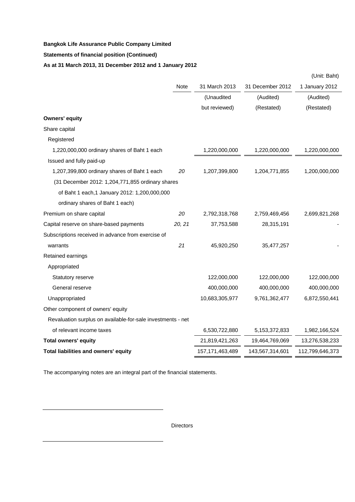### **Statements of financial position (Continued)**

## **As at 31 March 2013, 31 December 2012 and 1 January 2012**

|                                                             |        |                    |                  | (Unit: Baht)    |
|-------------------------------------------------------------|--------|--------------------|------------------|-----------------|
|                                                             | Note   | 31 March 2013      | 31 December 2012 | 1 January 2012  |
|                                                             |        | (Unaudited         | (Audited)        | (Audited)       |
|                                                             |        | but reviewed)      | (Restated)       | (Restated)      |
| <b>Owners' equity</b>                                       |        |                    |                  |                 |
| Share capital                                               |        |                    |                  |                 |
| Registered                                                  |        |                    |                  |                 |
| 1,220,000,000 ordinary shares of Baht 1 each                |        | 1,220,000,000      | 1,220,000,000    | 1,220,000,000   |
| Issued and fully paid-up                                    |        |                    |                  |                 |
| 1,207,399,800 ordinary shares of Baht 1 each                | 20     | 1,207,399,800      | 1,204,771,855    | 1,200,000,000   |
| (31 December 2012: 1,204,771,855 ordinary shares            |        |                    |                  |                 |
| of Baht 1 each, 1 January 2012: 1, 200, 000, 000            |        |                    |                  |                 |
| ordinary shares of Baht 1 each)                             |        |                    |                  |                 |
| Premium on share capital                                    | 20     | 2,792,318,768      | 2,759,469,456    | 2,699,821,268   |
| Capital reserve on share-based payments                     | 20, 21 | 37,753,588         | 28,315,191       |                 |
| Subscriptions received in advance from exercise of          |        |                    |                  |                 |
| warrants                                                    | 21     | 45,920,250         | 35,477,257       |                 |
| Retained earnings                                           |        |                    |                  |                 |
| Appropriated                                                |        |                    |                  |                 |
| Statutory reserve                                           |        | 122,000,000        | 122,000,000      | 122,000,000     |
| General reserve                                             |        | 400,000,000        | 400,000,000      | 400,000,000     |
| Unappropriated                                              |        | 10,683,305,977     | 9,761,362,477    | 6,872,550,441   |
| Other component of owners' equity                           |        |                    |                  |                 |
| Revaluation surplus on available-for-sale investments - net |        |                    |                  |                 |
| of relevant income taxes                                    |        | 6,530,722,880      | 5, 153, 372, 833 | 1,982,166,524   |
| <b>Total owners' equity</b>                                 |        | 21,819,421,263     | 19,464,769,069   | 13,276,538,233  |
| Total liabilities and owners' equity                        |        | 157, 171, 463, 489 | 143,567,314,601  | 112,799,646,373 |

The accompanying notes are an integral part of the financial statements.

**Directors** 

........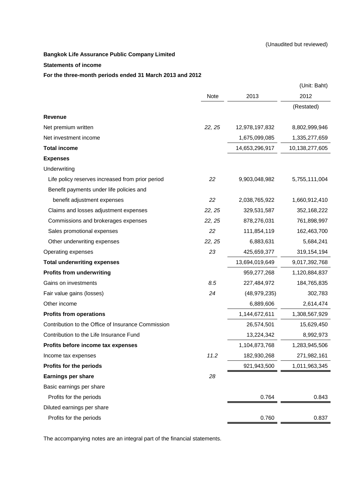#### **Statements of income**

#### **For the three-month periods ended 31 March 2013 and 2012**

|                                                    |        |                | (Unit: Baht)   |
|----------------------------------------------------|--------|----------------|----------------|
|                                                    | Note   | 2013           | 2012           |
|                                                    |        |                | (Restated)     |
| Revenue                                            |        |                |                |
| Net premium written                                | 22, 25 | 12,978,197,832 | 8,802,999,946  |
| Net investment income                              |        | 1,675,099,085  | 1,335,277,659  |
| <b>Total income</b>                                |        | 14,653,296,917 | 10,138,277,605 |
| <b>Expenses</b>                                    |        |                |                |
| Underwriting                                       |        |                |                |
| Life policy reserves increased from prior period   | 22     | 9,903,048,982  | 5,755,111,004  |
| Benefit payments under life policies and           |        |                |                |
| benefit adjustment expenses                        | 22     | 2,038,765,922  | 1,660,912,410  |
| Claims and losses adjustment expenses              | 22, 25 | 329,531,587    | 352,168,222    |
| Commissions and brokerages expenses                | 22, 25 | 878,276,031    | 761,898,997    |
| Sales promotional expenses                         | 22     | 111,854,119    | 162,463,700    |
| Other underwriting expenses                        | 22, 25 | 6,883,631      | 5,684,241      |
| Operating expenses                                 | 23     | 425,659,377    | 319,154,194    |
| <b>Total underwriting expenses</b>                 |        | 13,694,019,649 | 9,017,392,768  |
| <b>Profits from underwriting</b>                   |        | 959,277,268    | 1,120,884,837  |
| Gains on investments                               | 8.5    | 227,484,972    | 184,765,835    |
| Fair value gains (losses)                          | 24     | (48, 979, 235) | 302,783        |
| Other income                                       |        | 6,889,606      | 2,614,474      |
| <b>Profits from operations</b>                     |        | 1,144,672,611  | 1,308,567,929  |
| Contribution to the Office of Insurance Commission |        | 26,574,501     | 15,629,450     |
| Contribution to the Life Insurance Fund            |        | 13,224,342     | 8,992,973      |
| Profits before income tax expenses                 |        | 1,104,873,768  | 1,283,945,506  |
| Income tax expenses                                | 11.2   | 182,930,268    | 271,982,161    |
| Profits for the periods                            |        | 921,943,500    | 1,011,963,345  |
| Earnings per share                                 | 28     |                |                |
| Basic earnings per share                           |        |                |                |
| Profits for the periods                            |        | 0.764          | 0.843          |
| Diluted earnings per share                         |        |                |                |
| Profits for the periods                            |        | 0.760          | 0.837          |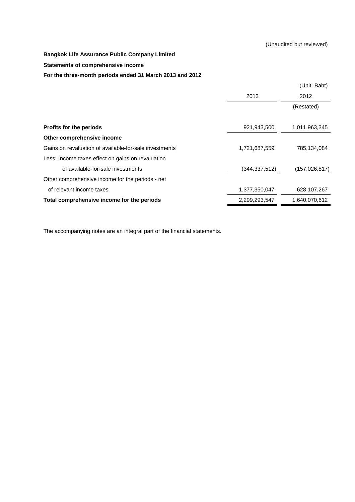### **Statements of comprehensive income**

#### **For the three-month periods ended 31 March 2013 and 2012**

|                                                        |                 | (Unit: Baht)    |
|--------------------------------------------------------|-----------------|-----------------|
|                                                        | 2013            | 2012            |
|                                                        |                 | (Restated)      |
|                                                        |                 |                 |
| Profits for the periods                                | 921,943,500     | 1,011,963,345   |
| Other comprehensive income                             |                 |                 |
| Gains on revaluation of available-for-sale investments | 1,721,687,559   | 785,134,084     |
| Less: Income taxes effect on gains on revaluation      |                 |                 |
| of available-for-sale investments                      | (344, 337, 512) | (157, 026, 817) |
| Other comprehensive income for the periods - net       |                 |                 |
| of relevant income taxes                               | 1,377,350,047   | 628,107,267     |
| Total comprehensive income for the periods             | 2,299,293,547   | 1,640,070,612   |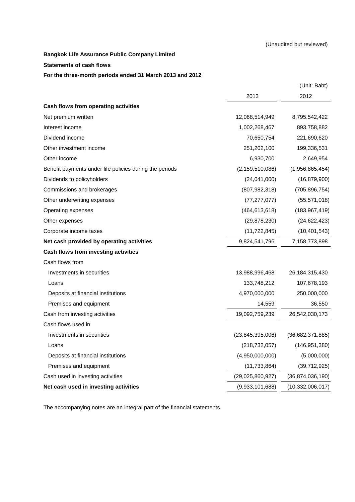#### **Statements of cash flows**

#### **For the three-month periods ended 31 March 2013 and 2012**

|                                                         |                     | (Unit: Baht)     |
|---------------------------------------------------------|---------------------|------------------|
|                                                         | 2013                | 2012             |
| Cash flows from operating activities                    |                     |                  |
| Net premium written                                     | 12,068,514,949      | 8,795,542,422    |
| Interest income                                         | 1,002,268,467       | 893,758,882      |
| Dividend income                                         | 70,650,754          | 221,690,620      |
| Other investment income                                 | 251,202,100         | 199,336,531      |
| Other income                                            | 6,930,700           | 2,649,954        |
| Benefit payments under life policies during the periods | (2, 159, 510, 086)  | (1,956,865,454)  |
| Dividends to policyholders                              | (24,041,000)        | (16, 879, 900)   |
| Commissions and brokerages                              | (807, 982, 318)     | (705, 896, 754)  |
| Other underwriting expenses                             | (77, 277, 077)      | (55, 571, 018)   |
| Operating expenses                                      | (464, 613, 618)     | (183, 967, 419)  |
| Other expenses                                          | (29, 878, 230)      | (24, 622, 423)   |
| Corporate income taxes                                  | (11, 722, 845)      | (10, 401, 543)   |
| Net cash provided by operating activities               | 9,824,541,796       | 7,158,773,898    |
| Cash flows from investing activities                    |                     |                  |
| Cash flows from                                         |                     |                  |
| Investments in securities                               | 13,988,996,468      | 26,184,315,430   |
| Loans                                                   | 133,748,212         | 107,678,193      |
| Deposits at financial institutions                      | 4,970,000,000       | 250,000,000      |
| Premises and equipment                                  | 14,559              | 36,550           |
| Cash from investing activities                          | 19,092,759,239      | 26,542,030,173   |
| Cash flows used in                                      |                     |                  |
| Investments in securities                               | (23, 845, 395, 006) | (36,682,371,885) |
| Loans                                                   | (218, 732, 057)     | (146, 951, 380)  |
| Deposits at financial institutions                      | (4,950,000,000)     | (5,000,000)      |
| Premises and equipment                                  | (11, 733, 864)      | (39,712,925)     |
| Cash used in investing activities                       | (29,025,860,927)    | (36,874,036,190) |
| Net cash used in investing activities                   | (9,933,101,688)     | (10,332,006,017) |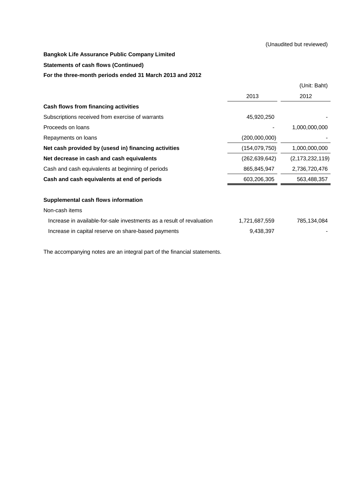#### (Unaudited but reviewed)

### **Bangkok Life Assurance Public Company Limited**

### **Statements of cash flows (Continued)**

### **For the three-month periods ended 31 March 2013 and 2012**

|                                                                       |                 | (Unit: Baht)       |
|-----------------------------------------------------------------------|-----------------|--------------------|
|                                                                       | 2013            | 2012               |
| Cash flows from financing activities                                  |                 |                    |
| Subscriptions received from exercise of warrants                      | 45,920,250      |                    |
| Proceeds on loans                                                     |                 | 1,000,000,000      |
| Repayments on loans                                                   | (200,000,000)   |                    |
| Net cash provided by (usesd in) financing activities                  | (154, 079, 750) | 1,000,000,000      |
| Net decrease in cash and cash equivalents                             | (262, 639, 642) | (2, 173, 232, 119) |
| Cash and cash equivalents at beginning of periods                     | 865,845,947     | 2,736,720,476      |
| Cash and cash equivalents at end of periods                           | 603,206,305     | 563,488,357        |
| Supplemental cash flows information                                   |                 |                    |
| Non-cash items                                                        |                 |                    |
| Increase in available-for-sale investments as a result of revaluation | 1,721,687,559   | 785,134,084        |
| Increase in capital reserve on share-based payments                   | 9,438,397       |                    |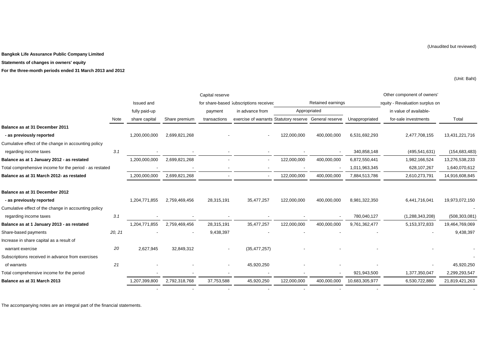**Statements of changes in owners' equity**

**For the three-month periods ended 31 March 2013 and 2012**

(Unit: Baht)

|                                                         |        |               |               | Capital reserve |                                                        |             |                   |                | Other component of owners'      |                 |
|---------------------------------------------------------|--------|---------------|---------------|-----------------|--------------------------------------------------------|-------------|-------------------|----------------|---------------------------------|-----------------|
|                                                         |        | Issued and    |               |                 | for share-based 3ubscriptions received                 |             | Retained earnings |                | equity - Revaluation surplus on |                 |
|                                                         |        | fully paid-up |               | payment         | in advance from                                        |             | Appropriated      |                | in value of available-          |                 |
|                                                         | Note   | share capital | Share premium | transactions    | exercise of warrants Statutory reserve General reserve |             |                   | Unappropriated | for-sale investments            | Total           |
| Balance as at 31 December 2011                          |        |               |               |                 |                                                        |             |                   |                |                                 |                 |
| - as previously reported                                |        | 1,200,000,000 | 2,699,821,268 |                 |                                                        | 122,000,000 | 400,000,000       | 6,531,692,293  | 2,477,708,155                   | 13,431,221,716  |
| Cumulative effect of the change in accounting policy    |        |               |               |                 |                                                        |             |                   |                |                                 |                 |
| regarding income taxes                                  | 3.1    |               |               |                 |                                                        |             |                   | 340,858,148    | (495, 541, 631)                 | (154, 683, 483) |
| Balance as at 1 January 2012 - as restated              |        | 1,200,000,000 | 2,699,821,268 |                 |                                                        | 122,000,000 | 400,000,000       | 6,872,550,441  | 1,982,166,524                   | 13,276,538,233  |
| Total comprehensive income for the period - as restated |        |               |               |                 |                                                        |             |                   | 1,011,963,345  | 628,107,267                     | 1,640,070,612   |
| Balance as at 31 March 2012- as restated                |        | 1,200,000,000 | 2,699,821,268 |                 |                                                        | 122,000,000 | 400,000,000       | 7,884,513,786  | 2,610,273,791                   | 14,916,608,845  |
| Balance as at 31 December 2012                          |        |               |               |                 |                                                        |             |                   |                |                                 |                 |
| - as previously reported                                |        | 1,204,771,855 | 2,759,469,456 | 28,315,191      | 35,477,257                                             | 122,000,000 | 400,000,000       | 8,981,322,350  | 6,441,716,041                   | 19,973,072,150  |
| Cumulative effect of the change in accounting policy    |        |               |               |                 |                                                        |             |                   |                |                                 |                 |
| regarding income taxes                                  | 3.1    |               |               |                 |                                                        |             |                   | 780,040,127    | (1,288,343,208)                 | (508, 303, 081) |
| Balance as at 1 January 2013 - as restated              |        | 1,204,771,855 | 2,759,469,456 | 28,315,191      | 35,477,257                                             | 122,000,000 | 400,000,000       | 9,761,362,477  | 5,153,372,833                   | 19,464,769,069  |
| Share-based payments                                    | 20, 21 |               |               | 9,438,397       |                                                        |             |                   |                |                                 | 9,438,397       |
| Increase in share capital as a result of                |        |               |               |                 |                                                        |             |                   |                |                                 |                 |
| warrant exercise                                        | 20     | 2,627,945     | 32,849,312    |                 | (35, 477, 257)                                         |             |                   |                |                                 |                 |
| Subscriptions received in advance from exercises        |        |               |               |                 |                                                        |             |                   |                |                                 |                 |
| of warrants                                             | 21     |               |               |                 | 45,920,250                                             |             |                   |                |                                 | 45,920,250      |
| Total comprehensive income for the period               |        |               |               |                 |                                                        |             |                   | 921,943,500    | 1,377,350,047                   | 2,299,293,547   |
| Balance as at 31 March 2013                             |        | ,207,399,800  | 2,792,318,768 | 37,753,588      | 45,920,250                                             | 122,000,000 | 400,000,000       | 10,683,305,977 | 6,530,722,880                   | 21,819,421,263  |
|                                                         |        |               |               |                 |                                                        |             |                   |                |                                 |                 |

The accompanying notes are an integral part of the financial statements.

(Unaudited but reviewed)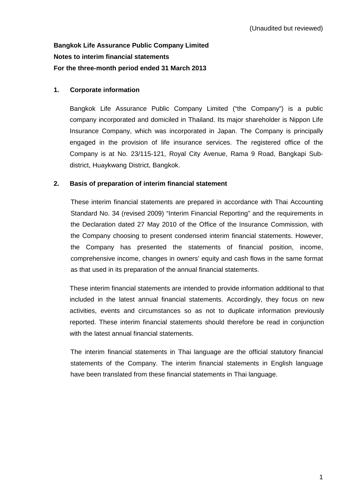# **Bangkok Life Assurance Public Company Limited Notes to interim financial statements For the three-month period ended 31 March 2013**

## **1. Corporate information**

Bangkok Life Assurance Public Company Limited ("the Company") is a public company incorporated and domiciled in Thailand. Its major shareholder is Nippon Life Insurance Company, which was incorporated in Japan. The Company is principally engaged in the provision of life insurance services. The registered office of the Company is at No. 23/115-121, Royal City Avenue, Rama 9 Road, Bangkapi Subdistrict, Huaykwang District, Bangkok.

### **2. Basis of preparation of interim financial statement**

These interim financial statements are prepared in accordance with Thai Accounting Standard No. 34 (revised 2009) "Interim Financial Reporting" and the requirements in the Declaration dated 27 May 2010 of the Office of the Insurance Commission, with the Company choosing to present condensed interim financial statements. However, the Company has presented the statements of financial position, income, comprehensive income, changes in owners' equity and cash flows in the same format as that used in its preparation of the annual financial statements.

 These interim financial statements are intended to provide information additional to that included in the latest annual financial statements. Accordingly, they focus on new activities, events and circumstances so as not to duplicate information previously reported. These interim financial statements should therefore be read in conjunction with the latest annual financial statements.

 The interim financial statements in Thai language are the official statutory financial statements of the Company. The interim financial statements in English language have been translated from these financial statements in Thai language.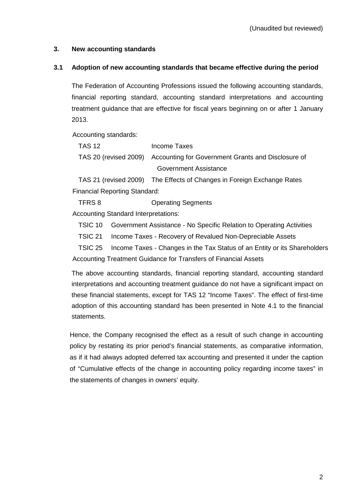## **3. New accounting standards**

## **3.1 Adoption of new accounting standards that became effective during the period**

 The Federation of Accounting Professions issued the following accounting standards, financial reporting standard, accounting standard interpretations and accounting treatment guidance that are effective for fiscal years beginning on or after 1 January 2013.

Accounting standards:

| TAS 12 | Income Taxes                                                             |
|--------|--------------------------------------------------------------------------|
|        | TAS 20 (revised 2009) Accounting for Government Grants and Disclosure of |
|        | Government Assistance                                                    |

TAS 21 (revised 2009) The Effects of Changes in Foreign Exchange Rates Financial Reporting Standard:

TFRS 8 Operating Segments

Accounting Standard Interpretations:

TSIC 10 Government Assistance - No Specific Relation to Operating Activities

TSIC 21 Income Taxes - Recovery of Revalued Non-Depreciable Assets

TSIC 25 Income Taxes - Changes in the Tax Status of an Entity or its Shareholders Accounting Treatment Guidance for Transfers of Financial Assets

 The above accounting standards, financial reporting standard, accounting standard interpretations and accounting treatment guidance do not have a significant impact on these financial statements, except for TAS 12 "Income Taxes". The effect of first-time adoption of this accounting standard has been presented in Note 4.1 to the financial statements.

Hence, the Company recognised the effect as a result of such change in accounting policy by restating its prior period's financial statements, as comparative information, as if it had always adopted deferred tax accounting and presented it under the caption of "Cumulative effects of the change in accounting policy regarding income taxes" in the statements of changes in owners' equity.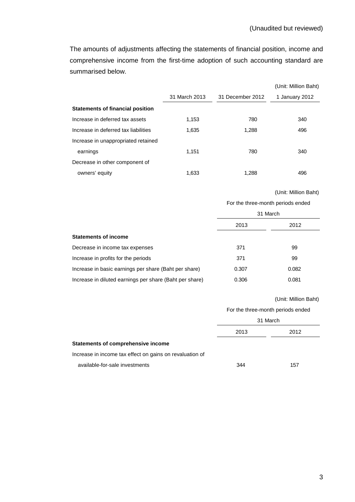The amounts of adjustments affecting the statements of financial position, income and comprehensive income from the first-time adoption of such accounting standard are summarised below.

|                                         |               |                  | (Unit: Million Baht) |
|-----------------------------------------|---------------|------------------|----------------------|
|                                         | 31 March 2013 | 31 December 2012 | 1 January 2012       |
| <b>Statements of financial position</b> |               |                  |                      |
| Increase in deferred tax assets         | 1,153         | 780              | 340                  |
| Increase in deferred tax liabilities    | 1,635         | 1,288            | 496                  |
| Increase in unappropriated retained     |               |                  |                      |
| earnings                                | 1.151         | 780              | 340                  |
| Decrease in other component of          |               |                  |                      |
| owners' equity                          | 1,633         | 1,288            | 496                  |

#### (Unit: Million Baht)

For the three-month periods ended

|                                                         | 31 March |       |  |
|---------------------------------------------------------|----------|-------|--|
|                                                         | 2013     | 2012  |  |
| <b>Statements of income</b>                             |          |       |  |
| Decrease in income tax expenses                         | 371      | 99    |  |
| Increase in profits for the periods                     | 371      | 99    |  |
| Increase in basic earnings per share (Baht per share)   | 0.307    | 0.082 |  |
| Increase in diluted earnings per share (Baht per share) | 0.306    | 0.081 |  |

#### (Unit: Million Baht)

For the three-month periods ended

|                                                          | 31 March |      |  |
|----------------------------------------------------------|----------|------|--|
|                                                          | 2013     | 2012 |  |
| Statements of comprehensive income                       |          |      |  |
| Increase in income tax effect on gains on revaluation of |          |      |  |
| available-for-sale investments                           | 344      | 157  |  |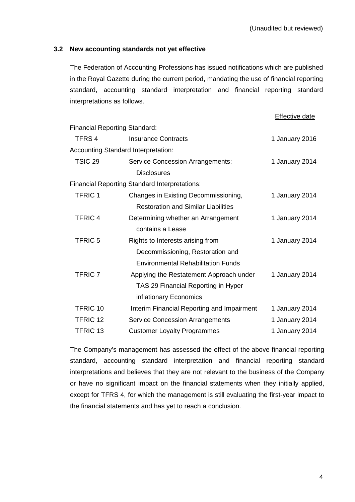## **3.2 New accounting standards not yet effective**

The Federation of Accounting Professions has issued notifications which are published in the Royal Gazette during the current period, mandating the use of financial reporting standard, accounting standard interpretation and financial reporting standard interpretations as follows.

|                                      |                                                      | <b>Effective date</b> |
|--------------------------------------|------------------------------------------------------|-----------------------|
| <b>Financial Reporting Standard:</b> |                                                      |                       |
| TFRS <sub>4</sub>                    | <b>Insurance Contracts</b>                           | 1 January 2016        |
|                                      | <b>Accounting Standard Interpretation:</b>           |                       |
| TSIC <sub>29</sub>                   | <b>Service Concession Arrangements:</b>              | 1 January 2014        |
|                                      | <b>Disclosures</b>                                   |                       |
|                                      | <b>Financial Reporting Standard Interpretations:</b> |                       |
| <b>TFRIC1</b>                        | Changes in Existing Decommissioning,                 | 1 January 2014        |
|                                      | <b>Restoration and Similar Liabilities</b>           |                       |
| <b>TFRIC4</b>                        | Determining whether an Arrangement                   | 1 January 2014        |
|                                      | contains a Lease                                     |                       |
| <b>TFRIC 5</b>                       | Rights to Interests arising from                     | 1 January 2014        |
|                                      | Decommissioning, Restoration and                     |                       |
|                                      | <b>Environmental Rehabilitation Funds</b>            |                       |
| <b>TFRIC 7</b>                       | Applying the Restatement Approach under              | 1 January 2014        |
|                                      | TAS 29 Financial Reporting in Hyper                  |                       |
|                                      | inflationary Economics                               |                       |
| TFRIC 10                             | Interim Financial Reporting and Impairment           | 1 January 2014        |
| TFRIC 12                             | <b>Service Concession Arrangements</b>               | 1 January 2014        |
| TFRIC <sub>13</sub>                  | <b>Customer Loyalty Programmes</b>                   | 1 January 2014        |

The Company's management has assessed the effect of the above financial reporting standard, accounting standard interpretation and financial reporting standard interpretations and believes that they are not relevant to the business of the Company or have no significant impact on the financial statements when they initially applied, except for TFRS 4, for which the management is still evaluating the first-year impact to the financial statements and has yet to reach a conclusion.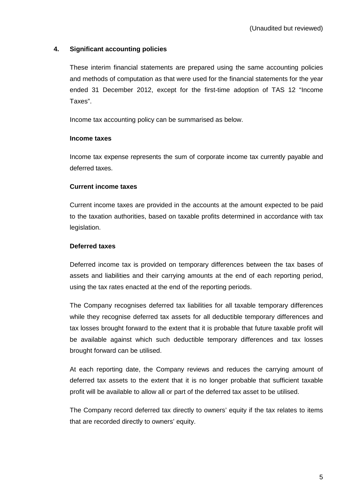## **4. Significant accounting policies**

These interim financial statements are prepared using the same accounting policies and methods of computation as that were used for the financial statements for the year ended 31 December 2012, except for the first-time adoption of TAS 12 "Income Taxes".

Income tax accounting policy can be summarised as below.

### **Income taxes**

Income tax expense represents the sum of corporate income tax currently payable and deferred taxes.

### **Current income taxes**

Current income taxes are provided in the accounts at the amount expected to be paid to the taxation authorities, based on taxable profits determined in accordance with tax legislation.

## **Deferred taxes**

Deferred income tax is provided on temporary differences between the tax bases of assets and liabilities and their carrying amounts at the end of each reporting period, using the tax rates enacted at the end of the reporting periods.

The Company recognises deferred tax liabilities for all taxable temporary differences while they recognise deferred tax assets for all deductible temporary differences and tax losses brought forward to the extent that it is probable that future taxable profit will be available against which such deductible temporary differences and tax losses brought forward can be utilised.

At each reporting date, the Company reviews and reduces the carrying amount of deferred tax assets to the extent that it is no longer probable that sufficient taxable profit will be available to allow all or part of the deferred tax asset to be utilised.

The Company record deferred tax directly to owners' equity if the tax relates to items that are recorded directly to owners' equity.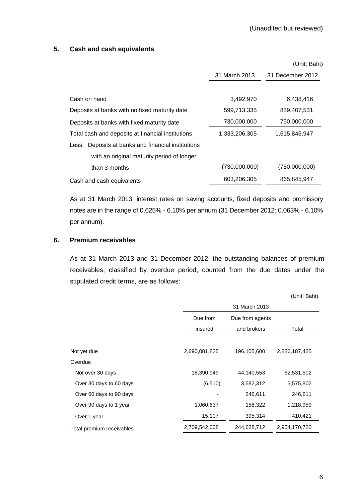### **5. Cash and cash equivalents**

|                                                    |               | (Unit: Baht)     |
|----------------------------------------------------|---------------|------------------|
|                                                    | 31 March 2013 | 31 December 2012 |
|                                                    |               |                  |
| Cash on hand                                       | 3,492,970     | 6,438,416        |
| Deposits at banks with no fixed maturity date      | 599,713,335   | 859,407,531      |
| Deposits at banks with fixed maturity date         | 730,000,000   | 750,000,000      |
| Total cash and deposits at financial institutions  | 1,333,206,305 | 1,615,845,947    |
| Less: Deposits at banks and financial institutions |               |                  |
| with an original maturity period of longer         |               |                  |
| than 3 months                                      | (730,000,000) | (750,000,000)    |
| Cash and cash equivalents                          | 603,206,305   | 865,845,947      |

 As at 31 March 2013, interest rates on saving accounts, fixed deposits and promissory notes are in the range of 0.625% - 6.10% per annum (31 December 2012: 0.063% - 6.10% per annum).

### **6. Premium receivables**

 As at 31 March 2013 and 31 December 2012, the outstanding balances of premium receivables, classified by overdue period, counted from the due dates under the stipulated credit terms, are as follows:

|                           |               |                 | (Unit: Baht)  |
|---------------------------|---------------|-----------------|---------------|
|                           |               | 31 March 2013   |               |
|                           | Due from      | Due from agents |               |
|                           | insured       | and brokers     | Total         |
|                           |               |                 |               |
| Not yet due               | 2,690,081,825 | 196,105,600     | 2,886,187,425 |
| Overdue                   |               |                 |               |
| Not over 30 days          | 18,390,949    | 44,140,553      | 62,531,502    |
| Over 30 days to 60 days   | (6, 510)      | 3,582,312       | 3,575,802     |
| Over 60 days to 90 days   |               | 246,611         | 246,611       |
| Over 90 days to 1 year    | 1,060,637     | 158,322         | 1,218,959     |
| Over 1 year               | 15,107        | 395,314         | 410,421       |
| Total premium receivables | 2,709,542,008 | 244,628,712     | 2,954,170,720 |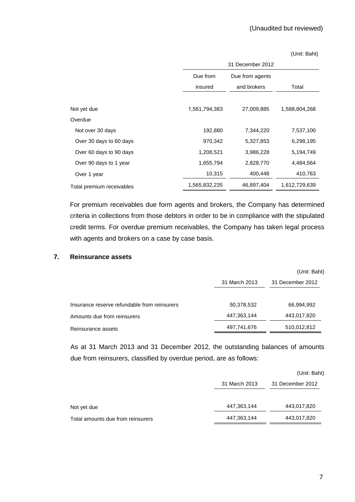#### (Unit: Baht)

|                           | 31 December 2012 |                 |               |  |  |  |
|---------------------------|------------------|-----------------|---------------|--|--|--|
|                           | Due from         | Due from agents |               |  |  |  |
|                           | insured          | and brokers     | Total         |  |  |  |
|                           |                  |                 |               |  |  |  |
| Not yet due               | 1,561,794,383    | 27,009,885      | 1,588,804,268 |  |  |  |
| Overdue                   |                  |                 |               |  |  |  |
| Not over 30 days          | 192,880          | 7,344,220       | 7,537,100     |  |  |  |
| Over 30 days to 60 days   | 970,342          | 5,327,853       | 6,298,195     |  |  |  |
| Over 60 days to 90 days   | 1,208,521        | 3,986,228       | 5,194,749     |  |  |  |
| Over 90 days to 1 year    | 1,655,794        | 2,828,770       | 4,484,564     |  |  |  |
| Over 1 year               | 10,315           | 400,448         | 410,763       |  |  |  |
| Total premium receivables | 1,565,832,235    | 46,897,404      | 1,612,729,639 |  |  |  |

 For premium receivables due form agents and brokers, the Company has determined criteria in collections from those debtors in order to be in compliance with the stipulated credit terms. For overdue premium receivables, the Company has taken legal process with agents and brokers on a case by case basis.

### **7. Reinsurance assets**

|                                              |               | (Unit: Baht)     |
|----------------------------------------------|---------------|------------------|
|                                              | 31 March 2013 | 31 December 2012 |
|                                              |               |                  |
| Insurance reserve refundable from reinsurers | 50,378,532    | 66,994,992       |
| Amounts due from reinsurers                  | 447,363,144   | 443,017,820      |
| Reinsurance assets                           | 497,741,676   | 510,012,812      |
|                                              |               |                  |

As at 31 March 2013 and 31 December 2012, the outstanding balances of amounts due from reinsurers, classified by overdue period, are as follows:

|                                   |               | (Unit: Baht)     |
|-----------------------------------|---------------|------------------|
|                                   | 31 March 2013 | 31 December 2012 |
| Not yet due                       | 447,363,144   | 443,017,820      |
| Total amounts due from reinsurers | 447,363,144   | 443,017,820      |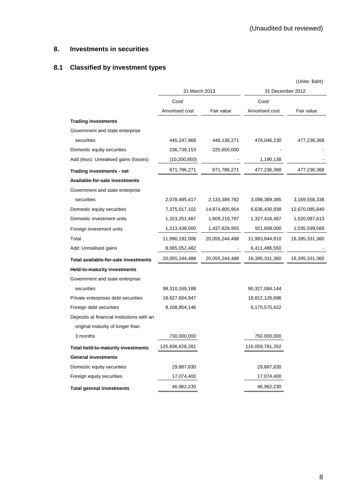## **8. Investments in securities**

# **8.1 Classified by investment types**

|                                            |                 |                |                  | (Unite: Baht)  |  |
|--------------------------------------------|-----------------|----------------|------------------|----------------|--|
|                                            | 31 March 2013   |                | 31 December 2012 |                |  |
|                                            | Cost/           |                | Cost/            |                |  |
|                                            | Amortised cost  | Fair value     | Amortised cost   | Fair value     |  |
| <b>Trading investments</b>                 |                 |                |                  |                |  |
| Government and state enterprise            |                 |                |                  |                |  |
| securities                                 | 445,247,968     | 446,136,271    | 476,046,230      | 477,236,368    |  |
| Domestic equity securities                 | 236,739,153     | 225,650,000    |                  |                |  |
| Add (less): Unrealised gains (losses)      | (10, 200, 850)  |                | 1,190,138        |                |  |
| Trading investments - net                  | 671,786,271     | 671,786,271    | 477,236,368      | 477,236,368    |  |
| Available-for-sale investments             |                 |                |                  |                |  |
| Government and state enterprise            |                 |                |                  |                |  |
| securities                                 | 2,078,485,417   | 2,133,389,782  | 3,098,389,385    | 3,169,558,338  |  |
| Domestic equity securities                 | 7,375,017,102   | 14,874,805,954 | 6,636,430,938    | 12,670,085,840 |  |
| Domestic investment units                  | 1,323,251,487   | 1,609,219,797  | 1,327,416,487    | 1,520,087,613  |  |
| Foreign investment units                   | 1,213,438,000   | 1,437,828,955  | 921,608,000      | 1,035,599,569  |  |
| Total                                      | 11,990,192,006  | 20,055,244,488 | 11,983,844,810   | 18,395,331,360 |  |
| Add: Unrealised gains                      | 8,065,052,482   |                | 6,411,486,550    |                |  |
| Total available-for-sale investments       | 20,055,244,488  | 20,055,244,488 | 18,395,331,360   | 18,395,331,360 |  |
| <b>Held-to-maturity investments</b>        |                 |                |                  |                |  |
| Government and state enterprise            |                 |                |                  |                |  |
| securities                                 | 98,310,169,188  |                | 90,327,084,144   |                |  |
| Private enterprises debt securities        | 18,627,604,947  |                | 18,812,126,696   |                |  |
| Foreign debt securities                    | 8,168,854,146   |                | 6,170,570,422    |                |  |
| Deposits at financial institutions with an |                 |                |                  |                |  |
| original maturity of longer than           |                 |                |                  |                |  |
| 3 months                                   | 730,000,000     |                | 750,000,000      |                |  |
| <b>Total held-to-maturity investments</b>  | 125,836,628,281 |                | 116,059,781,262  |                |  |
| <b>General investments</b>                 |                 |                |                  |                |  |
| Domestic equity securities                 | 29,887,830      |                | 29,887,830       |                |  |
| Foreign equity securities                  | 17,074,400      |                | 17,074,400       |                |  |
| <b>Total genreal investments</b>           | 46,962,230      |                | 46,962,230       |                |  |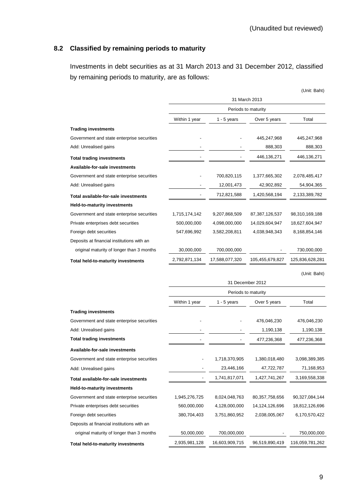## **8.2 Classified by remaining periods to maturity**

Investments in debt securities as at 31 March 2013 and 31 December 2012, classified by remaining periods to maturity, are as follows:

|                                            |               |                     |                     | (Unit: Baht)    |
|--------------------------------------------|---------------|---------------------|---------------------|-----------------|
|                                            |               | 31 March 2013       |                     |                 |
|                                            |               |                     | Periods to maturity |                 |
|                                            | Within 1 year | 1 - 5 years         | Over 5 years        | Total           |
| <b>Trading investments</b>                 |               |                     |                     |                 |
| Government and state enterprise securities |               |                     | 445,247,968         | 445,247,968     |
| Add: Unrealised gains                      |               |                     | 888,303             | 888,303         |
| <b>Total trading investments</b>           |               |                     | 446,136,271         | 446,136,271     |
| Available-for-sale investments             |               |                     |                     |                 |
| Government and state enterprise securities |               | 700,820,115         | 1,377,665,302       | 2,078,485,417   |
| Add: Unrealised gains                      |               | 12,001,473          | 42,902,892          | 54,904,365      |
| Total available-for-sale investments       |               | 712,821,588         | 1,420,568,194       | 2,133,389,782   |
| <b>Held-to-maturity investments</b>        |               |                     |                     |                 |
| Government and state enterprise securities | 1,715,174,142 | 9,207,868,509       | 87, 387, 126, 537   | 98,310,169,188  |
| Private enterprises debt securities        | 500,000,000   | 4,098,000,000       | 14,029,604,947      | 18,627,604,947  |
| Foreign debt securities                    | 547,696,992   | 3,582,208,811       | 4,038,948,343       | 8,168,854,146   |
| Deposits at financial institutions with an |               |                     |                     |                 |
| original maturity of longer than 3 months  | 30,000,000    | 700,000,000         |                     | 730,000,000     |
| Total held-to-maturity investments         | 2,792,871,134 | 17,588,077,320      | 105,455,679,827     | 125,836,628,281 |
|                                            |               |                     |                     | (Unit: Baht)    |
|                                            |               |                     | 31 December 2012    |                 |
|                                            |               | Periods to maturity |                     |                 |
|                                            | Within 1 year | $1 - 5$ years       | Over 5 years        | Total           |
| <b>Trading investments</b>                 |               |                     |                     |                 |
| Government and state enterprise securities |               |                     | 476,046,230         | 476,046,230     |
| Add: Unrealised gains                      |               |                     | 1,190,138           | 1,190,138       |
| <b>Total trading investments</b>           |               |                     | 477,236,368         | 477,236,368     |
| Available-for-sale investments             |               |                     |                     |                 |
| Government and state enterprise securities |               | 1,718,370,905       | 1,380,018,480       | 3,098,389,385   |
| Add: Unrealised gains                      |               | 23,446,166          | 47,722,787          | 71,168,953      |
| Total available-for-sale investments       |               | 1,741,817,071       | 1,427,741,267       | 3,169,558,338   |
| <b>Held-to-maturity investments</b>        |               |                     |                     |                 |
| Government and state enterprise securities | 1,945,276,725 | 8,024,048,763       | 80,357,758,656      | 90,327,084,144  |
| Private enterprises debt securities        | 560,000,000   | 4,128,000,000       | 14,124,126,696      | 18,812,126,696  |
| Foreign debt securities                    | 380,704,403   | 3,751,860,952       | 2,038,005,067       | 6,170,570,422   |
| Deposits at financial institutions with an |               |                     |                     |                 |
| original maturity of longer than 3 months  | 50,000,000    | 700,000,000         |                     | 750,000,000     |
| Total held-to-maturity investments         | 2,935,981,128 | 16,603,909,715      | 96,519,890,419      | 116,059,781,262 |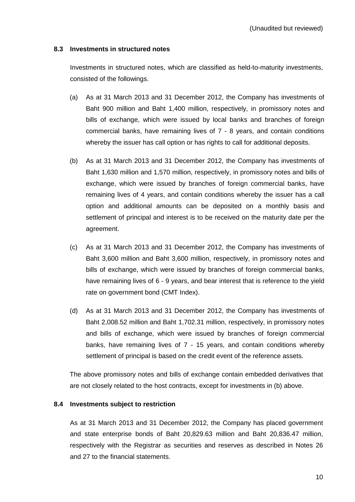## **8.3 Investments in structured notes**

 Investments in structured notes, which are classified as held-to-maturity investments, consisted of the followings.

- (a) As at 31 March 2013 and 31 December 2012, the Company has investments of Baht 900 million and Baht 1,400 million, respectively, in promissory notes and bills of exchange, which were issued by local banks and branches of foreign commercial banks, have remaining lives of 7 - 8 years, and contain conditions whereby the issuer has call option or has rights to call for additional deposits.
- (b) As at 31 March 2013 and 31 December 2012, the Company has investments of Baht 1,630 million and 1,570 million, respectively, in promissory notes and bills of exchange, which were issued by branches of foreign commercial banks, have remaining lives of 4 years, and contain conditions whereby the issuer has a call option and additional amounts can be deposited on a monthly basis and settlement of principal and interest is to be received on the maturity date per the agreement.
- (c) As at 31 March 2013 and 31 December 2012, the Company has investments of Baht 3,600 million and Baht 3,600 million, respectively, in promissory notes and bills of exchange, which were issued by branches of foreign commercial banks, have remaining lives of 6 - 9 years, and bear interest that is reference to the yield rate on government bond (CMT Index).
- (d) As at 31 March 2013 and 31 December 2012, the Company has investments of Baht 2,008.52 million and Baht 1,702.31 million, respectively, in promissory notes and bills of exchange, which were issued by branches of foreign commercial banks, have remaining lives of 7 - 15 years, and contain conditions whereby settlement of principal is based on the credit event of the reference assets.

The above promissory notes and bills of exchange contain embedded derivatives that are not closely related to the host contracts, except for investments in (b) above.

### **8.4 Investments subject to restriction**

As at 31 March 2013 and 31 December 2012, the Company has placed government and state enterprise bonds of Baht 20,829.63 million and Baht 20,836.47 million, respectively with the Registrar as securities and reserves as described in Notes 26 and 27 to the financial statements.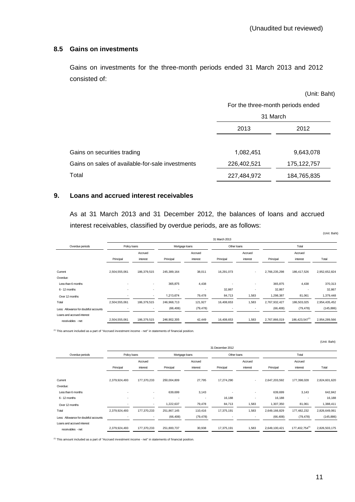### **8.5 Gains on investments**

Gains on investments for the three-month periods ended 31 March 2013 and 2012 consisted of:

|                                                  |                                   | (Unit: Baht)  |  |  |
|--------------------------------------------------|-----------------------------------|---------------|--|--|
|                                                  | For the three-month periods ended |               |  |  |
|                                                  | 31 March                          |               |  |  |
|                                                  | 2013                              | 2012          |  |  |
|                                                  |                                   |               |  |  |
| Gains on securities trading                      | 1,082,451                         | 9,643,078     |  |  |
| Gains on sales of available-for-sale investments | 226,402,521                       | 175, 122, 757 |  |  |
| Total                                            | 227,484,972                       | 184,765,835   |  |  |

### **9. Loans and accrued interest receivables**

 As at 31 March 2013 and 31 December 2012, the balances of loans and accrued interest receivables, classified by overdue periods, are as follows:

|                                       |                          |                          |                |                          |             |                          |               |                | (Unit: Baht)  |
|---------------------------------------|--------------------------|--------------------------|----------------|--------------------------|-------------|--------------------------|---------------|----------------|---------------|
|                                       | 31 March 2013            |                          |                |                          |             |                          |               |                |               |
| Overdue periods                       | Policy loans             |                          | Mortgage loans |                          | Other loans |                          | Total         |                |               |
|                                       |                          | Accrued                  |                | Accrued                  |             | Accrued                  |               | Accrued        |               |
|                                       | Principal                | interest                 | Principal      | interest                 | Principal   | interest                 | Principal     | interest       | Total         |
| Current                               | 2,504,555,061            | 186,379,515              | 245,389,164    | 38,011                   | 16,291,073  | $\sim$                   | 2,766,235,298 | 186,417,526    | 2,952,652,824 |
| Overdue:                              |                          |                          |                |                          |             |                          |               |                |               |
| Less than 6 months                    | $\overline{\phantom{a}}$ | $\sim$                   | 365,875        | 4,438                    |             | $\sim$                   | 365,875       | 4,438          | 370,313       |
| $6 - 12$ months                       | $\overline{\phantom{a}}$ | $\overline{\phantom{a}}$ | ۰.             | $\overline{\phantom{a}}$ | 32,867      | $\overline{\phantom{a}}$ | 32,867        |                | 32,867        |
| Over 12 months                        |                          | $\overline{\phantom{a}}$ | 1,213,674      | 79,478                   | 84,713      | 1,583                    | 1,298,387     | 81,061         | 1,379,448     |
| Total                                 | 2,504,555,061            | 186,379,515              | 246,968,713    | 121,927                  | 16,408,653  | 1,583                    | 2,767,932,427 | 186,503,025    | 2,954,435,452 |
| Less: Allowance for doubtful accounts |                          |                          | (66, 408)      | (79, 478)                |             |                          | (66, 408)     | (79, 478)      | (145, 886)    |
| Loans and accrued interest            |                          |                          |                |                          |             |                          |               |                |               |
| receivables - net                     | 2,504,555,061            | 186,379,515              | 246,902,305    | 42,449                   | 16,408,653  | 1,583                    | 2,767,866,019 | 186,423,547(1) | 2,954,289,566 |

 $(1)$  This amount included as a part of "Accrued investment income - net" in statements of financial position.

|                                       | 31 December 2012         |                          |                          |                |            |                          |               |                          |               |  |
|---------------------------------------|--------------------------|--------------------------|--------------------------|----------------|------------|--------------------------|---------------|--------------------------|---------------|--|
| Overdue periods                       | Policy loans             |                          |                          | Mortgage loans |            | Other loans              |               | Total                    |               |  |
|                                       |                          | Accrued                  | Accrued                  |                | Accrued    |                          | Accrued       |                          |               |  |
|                                       | Principal                | interest                 | Principal                | interest       | Principal  | interest                 | Principal     | interest                 | Total         |  |
|                                       |                          |                          |                          |                |            |                          |               |                          |               |  |
| Current                               | 2,379,924,493            | 177,370,233              | 250,004,809              | 27,795         | 17,274,290 | $\sim$                   | 2,647,203,592 | 177,398,028              | 2,824,601,620 |  |
| Overdue:                              |                          |                          |                          |                |            |                          |               |                          |               |  |
| Less than 6 months                    | $\overline{\phantom{a}}$ | $\sim$                   | 639,699                  | 3.143          |            | $\sim$                   | 639,699       | 3,143                    | 642,842       |  |
| 6 - 12 months                         | $\overline{\phantom{a}}$ | ٠                        | $\overline{\phantom{a}}$ | ٠              | 16,188     | ٠                        | 16,188        | $\overline{\phantom{a}}$ | 16,188        |  |
| Over 12 months                        |                          |                          | 1,222,637                | 79,478         | 84,713     | 1,583                    | 1,307,350     | 81,061                   | 1,388,411     |  |
| Total                                 | 2,379,924,493            | 177,370,233              | 251,867,145              | 110,416        | 17,375,191 | 1,583                    | 2,649,166,829 | 177,482,232              | 2,826,649,061 |  |
| Less: Allowance for doubtful accounts | $\overline{\phantom{a}}$ | $\overline{\phantom{a}}$ | (66, 408)                | (79, 478)      |            | $\overline{\phantom{a}}$ | (66, 408)     | (79, 478)                | (145, 886)    |  |
| Loans and accrued interest            |                          |                          |                          |                |            |                          |               |                          |               |  |
| receivables - net                     | 2,379,924,493            | 177,370,233              | 251,800,737              | 30,938         | 17,375,191 | 1,583                    | 2,649,100,421 | 177,402,754(1)           | 2,826,503,175 |  |

(1) This amount included as a part of "Accrued investment income - net" in statements of financial position.

(Unit: Baht)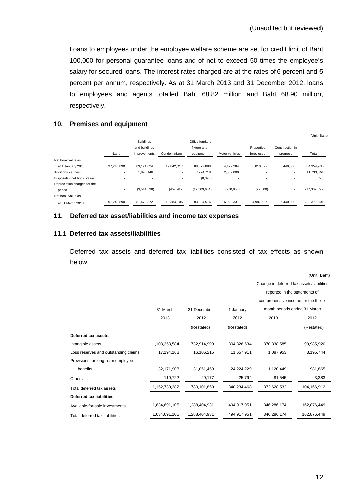Loans to employees under the employee welfare scheme are set for credit limit of Baht 100,000 for personal guarantee loans and of not to exceed 50 times the employee's salary for secured loans. The interest rates charged are at the rates of 6 percent and 5 percent per annum, respectively. As at 31 March 2013 and 31 December 2012, loans to employees and agents totalled Baht 68.82 million and Baht 68.90 million, respectively.

### **10. Premises and equipment**

|                              |                          |                  |             |                   |                          |            |                 | (Unit: Baht)   |
|------------------------------|--------------------------|------------------|-------------|-------------------|--------------------------|------------|-----------------|----------------|
|                              |                          | <b>Buildings</b> |             | Office furniture. |                          |            |                 |                |
|                              |                          | and buildings    |             | fixture and       |                          | Properties | Construction in |                |
|                              | Land                     | improvements     | Condominium | equipment         | Motor vehicles           | foreclosed | progress        | Total          |
| Net book value as            |                          |                  |             |                   |                          |            |                 |                |
| at 1 January 2013            | 97.240.890               | 83,121,824       | 19.842.017  | 88.877.888        | 4,422,284                | 5.010.027  | 6.440.000       | 304,954,930    |
| Additions - at cost          | $\overline{\phantom{a}}$ | 1,890,146        | ۰.          | 7.274.718         | 2,569,000                | ٠          |                 | 11,733,864     |
| Disposals - net book value   |                          | ۰                |             | (8,396)           | $\overline{\phantom{a}}$ | ٠          |                 | (8,396)        |
| Depreciation charges for the |                          |                  |             |                   |                          |            |                 |                |
| period                       |                          | (3,541,598)      | (457, 912)  | (12,309,634)      | (970, 953)               | (22, 500)  |                 | (17, 302, 597) |
| Net book value as            |                          |                  |             |                   |                          |            |                 |                |
| at 31 March 2013             | 97,240,890               | 81,470,372       | 19,384,105  | 83,834,576        | 6,020,331                | 4,987,527  | 6,440,000       | 299,377,801    |

### **11. Deferred tax asset/liabilities and income tax expenses**

## **11.1 Deferred tax assets/liabilities**

Deferred tax assets and deferred tax liabilities consisted of tax effects as shown below.

|                                      |               |               |             |                                           | (Unit: Baht) |
|--------------------------------------|---------------|---------------|-------------|-------------------------------------------|--------------|
|                                      |               |               |             | Change in deferred tax assets/liabilities |              |
|                                      |               |               |             | reported in the statements of             |              |
|                                      |               |               |             | comprehensive income for the three-       |              |
|                                      | 31 March      | 31 December   | 1 January   | month periods ended 31 March              |              |
|                                      | 2013          | 2012          | 2012        | 2013                                      | 2012         |
|                                      |               | (Restated)    | (Restated)  |                                           | (Restated)   |
| Deferred tax assets                  |               |               |             |                                           |              |
| Intangible assets                    | 1,103,253,584 | 732,914,999   | 304,326,534 | 370,338,585                               | 99,985,920   |
| Loss reserves and outstanding claims | 17,194,168    | 16,106,215    | 11,657,911  | 1,087,953                                 | 3,195,744    |
| Provisions for long-term employee    |               |               |             |                                           |              |
| benefits                             | 32,171,908    | 31,051,459    | 24,224,229  | 1,120,449                                 | 981,865      |
| Others                               | 110,722       | 29,177        | 25,794      | 81,545                                    | 3,383        |
| Total deferred tax assets            | 1,152,730,382 | 780,101,850   | 340,234,468 | 372,628,532                               | 104,166,912  |
| <b>Deferred tax liabilities</b>      |               |               |             |                                           |              |
| Available-for-sale investments       | 1,634,691,105 | 1,288,404,931 | 494,917,951 | 346,286,174                               | 162,876,449  |
| Total deferred tax liabilities       | 1,634,691,105 | 1,288,404,931 | 494,917,951 | 346,286,174                               | 162,876,449  |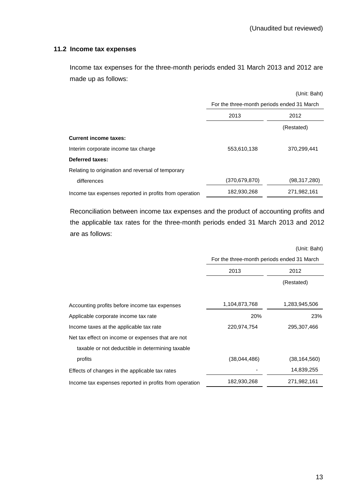### **11.2 Income tax expenses**

Income tax expenses for the three-month periods ended 31 March 2013 and 2012 are made up as follows:

|                                                        |                                            | (Unit: Baht) |
|--------------------------------------------------------|--------------------------------------------|--------------|
|                                                        | For the three-month periods ended 31 March |              |
|                                                        | 2013<br>2012                               |              |
|                                                        |                                            | (Restated)   |
| <b>Current income taxes:</b>                           |                                            |              |
| Interim corporate income tax charge                    | 553,610,138                                | 370,299,441  |
| Deferred taxes:                                        |                                            |              |
| Relating to origination and reversal of temporary      |                                            |              |
| differences                                            | (370, 679, 870)                            | (98,317,280) |
| Income tax expenses reported in profits from operation | 182,930,268                                | 271,982,161  |

 Reconciliation between income tax expenses and the product of accounting profits and the applicable tax rates for the three-month periods ended 31 March 2013 and 2012 are as follows:

|                                                        |                                            | (Unit: Baht)   |
|--------------------------------------------------------|--------------------------------------------|----------------|
|                                                        | For the three-month periods ended 31 March |                |
|                                                        | 2013                                       | 2012           |
|                                                        |                                            | (Restated)     |
| Accounting profits before income tax expenses          | 1,104,873,768                              | 1,283,945,506  |
| Applicable corporate income tax rate                   | 20%                                        | 23%            |
| Income taxes at the applicable tax rate                | 220,974,754                                | 295,307,466    |
| Net tax effect on income or expenses that are not      |                                            |                |
| taxable or not deductible in determining taxable       |                                            |                |
| profits                                                | (38,044,486)                               | (38, 164, 560) |
| Effects of changes in the applicable tax rates         |                                            | 14,839,255     |
| Income tax expenses reported in profits from operation | 182,930,268                                | 271,982,161    |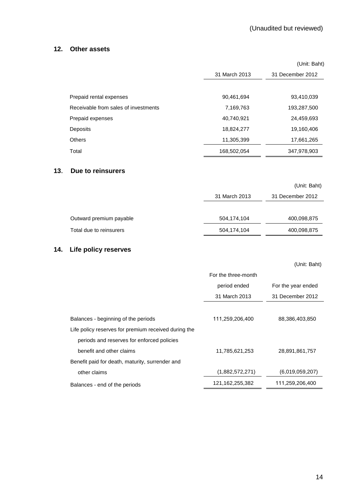### **12. Other assets**

|                                      |               | (Unit: Baht)     |
|--------------------------------------|---------------|------------------|
|                                      | 31 March 2013 | 31 December 2012 |
|                                      |               |                  |
| Prepaid rental expenses              | 90,461,694    | 93,410,039       |
| Receivable from sales of investments | 7,169,763     | 193,287,500      |
| Prepaid expenses                     | 40,740,921    | 24,459,693       |
| Deposits                             | 18,824,277    | 19,160,406       |
| <b>Others</b>                        | 11,305,399    | 17,661,265       |
| Total                                | 168,502,054   | 347,978,903      |

### **13**. **Due to reinsurers**

|                         |               | (Unit: Baht)     |
|-------------------------|---------------|------------------|
|                         | 31 March 2013 | 31 December 2012 |
|                         |               |                  |
| Outward premium payable | 504,174,104   | 400,098,875      |
| Total due to reinsurers | 504,174,104   | 400,098,875      |

## **14. Life policy reserves**

|                                                      |                     | (Unit: Baht)       |
|------------------------------------------------------|---------------------|--------------------|
|                                                      | For the three-month |                    |
|                                                      | period ended        | For the year ended |
|                                                      | 31 March 2013       | 31 December 2012   |
|                                                      |                     |                    |
| Balances - beginning of the periods                  | 111,259,206,400     | 88,386,403,850     |
| Life policy reserves for premium received during the |                     |                    |
| periods and reserves for enforced policies           |                     |                    |
| benefit and other claims                             | 11,785,621,253      | 28,891,861,757     |
| Benefit paid for death, maturity, surrender and      |                     |                    |
| other claims                                         | (1,882,572,271)     | (6.019.059.207)    |
| Balances - end of the periods                        | 121,162,255,382     | 111,259,206,400    |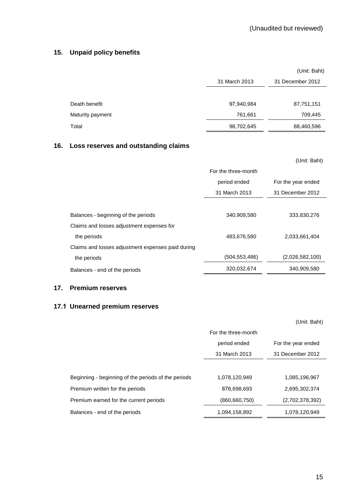## **15. Unpaid policy benefits**

|                  |               | (Unit: Baht)     |
|------------------|---------------|------------------|
|                  | 31 March 2013 | 31 December 2012 |
|                  |               |                  |
| Death benefit    | 97,940,984    | 87,751,151       |
| Maturity payment | 761,661       | 709,445          |
| Total            | 98,702,645    | 88,460,596       |

## **16. Loss reserves and outstanding claims**

|                                                   |                     | (Unit: Baht)       |
|---------------------------------------------------|---------------------|--------------------|
|                                                   | For the three-month |                    |
|                                                   | period ended        | For the year ended |
|                                                   | 31 March 2013       | 31 December 2012   |
|                                                   |                     |                    |
| Balances - beginning of the periods               | 340,909,580         | 333,830,276        |
| Claims and losses adjustment expenses for         |                     |                    |
| the periods                                       | 483,676,580         | 2,033,661,404      |
| Claims and losses adjustment expenses paid during |                     |                    |
| the periods                                       | (504, 553, 486)     | (2,026,582,100)    |
| Balances - end of the periods                     | 320,032,674         | 340,909,580        |

### **17. Premium reserves**

# **17.1 Unearned premium reserves**

# (Unit: Baht)

|                                                     | For the three-month                |                  |  |
|-----------------------------------------------------|------------------------------------|------------------|--|
|                                                     | period ended<br>For the year ended |                  |  |
|                                                     | 31 March 2013                      | 31 December 2012 |  |
|                                                     |                                    |                  |  |
| Beginning - beginning of the periods of the periods | 1.078.120.949                      | 1.085.196.967    |  |
| Premium written for the periods                     | 876.698.693                        | 2,695,302,374    |  |
| Premium earned for the current periods              | (860, 660, 750)                    | (2,702,378,392)  |  |
| Balances - end of the periods                       | 1,094,158,892                      | 1,078,120,949    |  |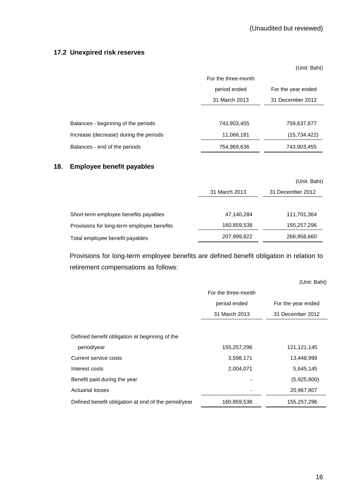### **17.2 Unexpired risk reserves**

(Unit: Baht)

|                                        | For the three-month                |                  |  |
|----------------------------------------|------------------------------------|------------------|--|
|                                        | period ended<br>For the year ended |                  |  |
|                                        | 31 March 2013                      | 31 December 2012 |  |
|                                        |                                    |                  |  |
| Balances - beginning of the periods    | 743,903,455                        | 759,637,877      |  |
| Increase (decrease) during the periods | 11,066,181                         | (15, 734, 422)   |  |
| Balances - end of the periods          | 754,969,636                        | 743,903,455      |  |

## **18. Employee benefit payables**

|                                            |               | (Unit: Baht)     |
|--------------------------------------------|---------------|------------------|
|                                            | 31 March 2013 | 31 December 2012 |
| Short-term employee benefits payables      | 47,140,284    | 111,701,364      |
| Provisions for long-term employee benefits | 160,859,538   | 155,257,296      |
| Total employee benefit payables            | 207,999,822   | 266,958,660      |

 Provisions for long-term employee benefits are defined benefit obligation in relation to retirement compensations as follows:

|                                                      |                     | (Unit: Baht)       |
|------------------------------------------------------|---------------------|--------------------|
|                                                      | For the three-month |                    |
|                                                      | period ended        | For the year ended |
|                                                      | 31 March 2013       | 31 December 2012   |
|                                                      |                     |                    |
| Defined benefit obligation at beginning of the       |                     |                    |
| period/year                                          | 155,257,296         | 121,121,145        |
| Current service costs                                | 3,598,171           | 13,448,999         |
| Interest costs                                       | 2,004,071           | 5,645,145          |
| Benefit paid during the year                         |                     | (5,925,800)        |
| <b>Actuarial losses</b>                              |                     | 20,967,807         |
| Defined benefit obligation at end of the period/year | 160,859,538         | 155,257,296        |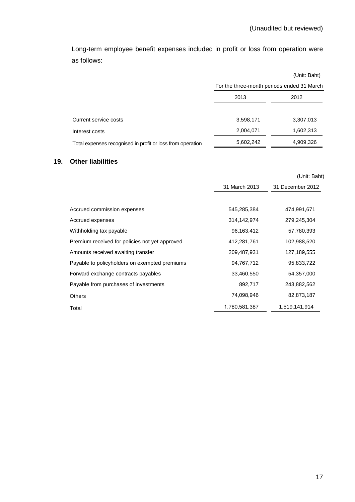Long-term employee benefit expenses included in profit or loss from operation were as follows:

|                                                            |                                            | (Unit: Baht) |
|------------------------------------------------------------|--------------------------------------------|--------------|
|                                                            | For the three-month periods ended 31 March |              |
|                                                            | 2013                                       | 2012         |
|                                                            |                                            |              |
| Current service costs                                      | 3,598,171                                  | 3,307,013    |
| Interest costs                                             | 2,004,071                                  | 1,602,313    |
| Total expenses recognised in profit or loss from operation | 5,602,242                                  | 4,909,326    |

## **19. Other liabilities**

|                                                |               | (Unit: Baht)     |
|------------------------------------------------|---------------|------------------|
|                                                | 31 March 2013 | 31 December 2012 |
|                                                |               |                  |
| Accrued commission expenses                    | 545,285,384   | 474,991,671      |
| Accrued expenses                               | 314,142,974   | 279,245,304      |
| Withholding tax payable                        | 96,163,412    | 57,780,393       |
| Premium received for policies not yet approved | 412,281,761   | 102,988,520      |
| Amounts received awaiting transfer             | 209,487,931   | 127,189,555      |
| Payable to policyholders on exempted premiums  | 94,767,712    | 95,833,722       |
| Forward exchange contracts payables            | 33,460,550    | 54,357,000       |
| Payable from purchases of investments          | 892,717       | 243,882,562      |
| <b>Others</b>                                  | 74,098,946    | 82,873,187       |
| Total                                          | 1,780,581,387 | 1,519,141,914    |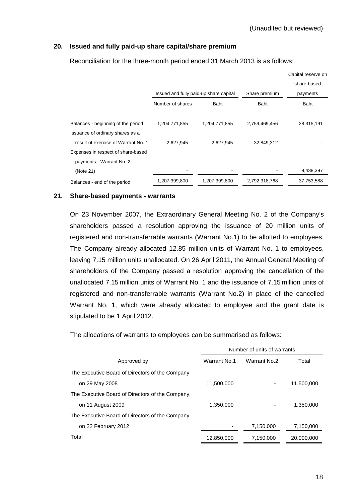Capital reserve on

### **20. Issued and fully paid-up share capital/share premium**

|                                     |                                        |               |               | Capital reserve on |
|-------------------------------------|----------------------------------------|---------------|---------------|--------------------|
|                                     |                                        |               |               | share-based        |
|                                     | Issued and fully paid-up share capital |               | Share premium | payments           |
|                                     | Number of shares                       | Baht          | Baht          | Baht               |
|                                     |                                        |               |               |                    |
| Balances - beginning of the period  | 1,204,771,855                          | 1,204,771,855 | 2,759,469,456 | 28,315,191         |
| Issuance of ordinary shares as a    |                                        |               |               |                    |
| result of exercise of Warrant No. 1 | 2,627,945                              | 2,627,945     | 32,849,312    |                    |
| Expenses in respect of share-based  |                                        |               |               |                    |
| payments - Warrant No. 2            |                                        |               |               |                    |
| (Note 21)                           |                                        |               |               | 9,438,397          |
| Balances - end of the period        | 1,207,399,800                          | 1,207,399,800 | 2,792,318,768 | 37,753,588         |
|                                     |                                        |               |               |                    |

Reconciliation for the three-month period ended 31 March 2013 is as follows:

### **21. Share-based payments - warrants**

On 23 November 2007, the Extraordinary General Meeting No. 2 of the Company's shareholders passed a resolution approving the issuance of 20 million units of registered and non-transferrable warrants (Warrant No.1) to be allotted to employees. The Company already allocated 12.85 million units of Warrant No. 1 to employees, leaving 7.15 million units unallocated. On 26 April 2011, the Annual General Meeting of shareholders of the Company passed a resolution approving the cancellation of the unallocated 7.15 million units of Warrant No. 1 and the issuance of 7.15 million units of registered and non-transferrable warrants (Warrant No.2) in place of the cancelled Warrant No. 1, which were already allocated to employee and the grant date is stipulated to be 1 April 2012.

The allocations of warrants to employees can be summarised as follows:

|                                                  | Number of units of warrants |              |            |
|--------------------------------------------------|-----------------------------|--------------|------------|
| Approved by                                      | Warrant No.1                | Warrant No.2 | Total      |
| The Executive Board of Directors of the Company, |                             |              |            |
| on 29 May 2008                                   | 11,500,000                  |              | 11,500,000 |
| The Executive Board of Directors of the Company. |                             |              |            |
| on 11 August 2009                                | 1,350,000                   |              | 1,350,000  |
| The Executive Board of Directors of the Company. |                             |              |            |
| on 22 February 2012                              |                             | 7,150,000    | 7,150,000  |
| Total                                            | 12,850,000                  | 7,150,000    | 20,000,000 |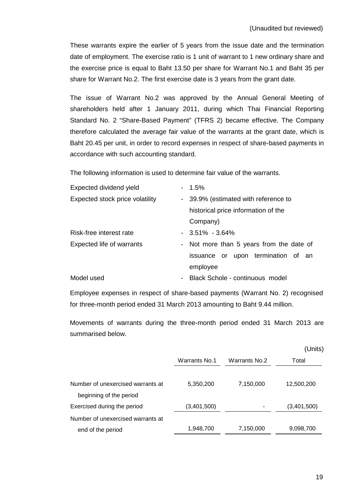These warrants expire the earlier of 5 years from the issue date and the termination date of employment. The exercise ratio is 1 unit of warrant to 1 new ordinary share and the exercise price is equal to Baht 13.50 per share for Warrant No.1 and Baht 35 per share for Warrant No.2. The first exercise date is 3 years from the grant date.

 The issue of Warrant No.2 was approved by the Annual General Meeting of shareholders held after 1 January 2011, during which Thai Financial Reporting Standard No. 2 "Share-Based Payment" (TFRS 2) became effective. The Company therefore calculated the average fair value of the warrants at the grant date, which is Baht 20.45 per unit, in order to record expenses in respect of share-based payments in accordance with such accounting standard.

The following information is used to determine fair value of the warrants.

| Expected dividend yield         |                          | $-1.5%$                                  |
|---------------------------------|--------------------------|------------------------------------------|
| Expected stock price volatility |                          | - 39.9% (estimated with reference to     |
|                                 |                          | historical price information of the      |
|                                 |                          | Company)                                 |
| Risk-free interest rate         |                          | $-3.51\% - 3.64\%$                       |
| Expected life of warrants       |                          | - Not more than 5 years from the date of |
|                                 |                          | issuance or upon termination of an       |
|                                 |                          | employee                                 |
| Model used                      | $\overline{\phantom{a}}$ | Black Schole - continuous model          |

Employee expenses in respect of share-based payments (Warrant No. 2) recognised for three-month period ended 31 March 2013 amounting to Baht 9.44 million.

 Movements of warrants during the three-month period ended 31 March 2013 are summarised below.

|                                                              |               |                | (Units)     |
|--------------------------------------------------------------|---------------|----------------|-------------|
|                                                              | Warrants No.1 | Warrants No. 2 | Total       |
| Number of unexercised warrants at<br>beginning of the period | 5,350,200     | 7,150,000      | 12,500,200  |
| Exercised during the period                                  | (3,401,500)   |                | (3,401,500) |
| Number of unexercised warrants at                            |               |                |             |
| end of the period                                            | 1,948,700     | 7,150,000      | 9,098,700   |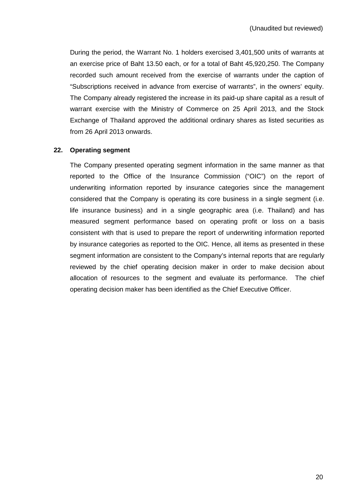During the period, the Warrant No. 1 holders exercised 3,401,500 units of warrants at an exercise price of Baht 13.50 each, or for a total of Baht 45,920,250. The Company recorded such amount received from the exercise of warrants under the caption of "Subscriptions received in advance from exercise of warrants", in the owners' equity. The Company already registered the increase in its paid-up share capital as a result of warrant exercise with the Ministry of Commerce on 25 April 2013, and the Stock Exchange of Thailand approved the additional ordinary shares as listed securities as from 26 April 2013 onwards.

### **22. Operating segment**

The Company presented operating segment information in the same manner as that reported to the Office of the Insurance Commission ("OIC") on the report of underwriting information reported by insurance categories since the management considered that the Company is operating its core business in a single segment (i.e. life insurance business) and in a single geographic area (i.e. Thailand) and has measured segment performance based on operating profit or loss on a basis consistent with that is used to prepare the report of underwriting information reported by insurance categories as reported to the OIC. Hence, all items as presented in these segment information are consistent to the Company's internal reports that are regularly reviewed by the chief operating decision maker in order to make decision about allocation of resources to the segment and evaluate its performance. The chief operating decision maker has been identified as the Chief Executive Officer.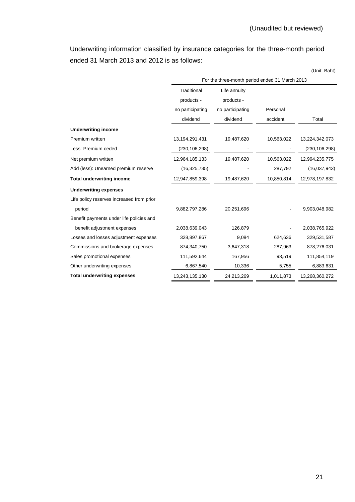Underwriting information classified by insurance categories for the three-month period ended 31 March 2013 and 2012 is as follows:

(Unit: Baht)

|                                           | For the three-month period ended 31 March 2013 |                  |            |                 |
|-------------------------------------------|------------------------------------------------|------------------|------------|-----------------|
|                                           | Traditional                                    | Life annuity     |            |                 |
|                                           | products -                                     | products -       |            |                 |
|                                           | no participating                               | no participating | Personal   |                 |
|                                           | dividend                                       | dividend         | accident   | Total           |
| <b>Underwriting income</b>                |                                                |                  |            |                 |
| Premium written                           | 13,194,291,431                                 | 19,487,620       | 10,563,022 | 13,224,342,073  |
| Less: Premium ceded                       | (230, 106, 298)                                |                  |            | (230, 106, 298) |
| Net premium written                       | 12,964,185,133                                 | 19,487,620       | 10,563,022 | 12,994,235,775  |
| Add (less): Unearned premium reserve      | (16, 325, 735)                                 |                  | 287,792    | (16,037,943)    |
| <b>Total underwriting income</b>          | 12,947,859,398                                 | 19,487,620       | 10,850,814 | 12,978,197,832  |
| <b>Underwriting expenses</b>              |                                                |                  |            |                 |
| Life policy reserves increased from prior |                                                |                  |            |                 |
| period                                    | 9,882,797,286                                  | 20,251,696       |            | 9,903,048,982   |
| Benefit payments under life policies and  |                                                |                  |            |                 |
| benefit adjustment expenses               | 2,038,639,043                                  | 126,879          |            | 2,038,765,922   |
| Losses and losses adjustment expenses     | 328,897,867                                    | 9,084            | 624,636    | 329,531,587     |
| Commissions and brokerage expenses        | 874,340,750                                    | 3,647,318        | 287,963    | 878,276,031     |
| Sales promotional expenses                | 111,592,644                                    | 167,956          | 93,519     | 111,854,119     |
| Other underwriting expenses               | 6,867,540                                      | 10,336           | 5,755      | 6,883,631       |
| <b>Total underwriting expenses</b>        | 13,243,135,130                                 | 24,213,269       | 1,011,873  | 13,268,360,272  |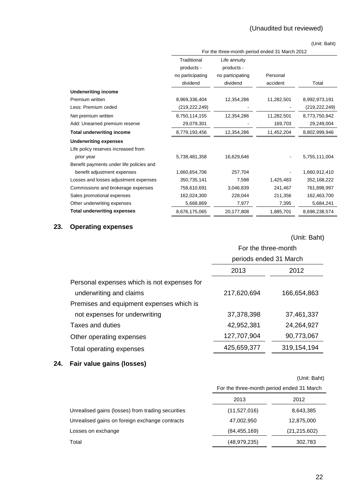## (Unaudited but reviewed)

(Unit: Baht)

|                                          | For the three-month period ended 31 March 2012 |                            |            |               |
|------------------------------------------|------------------------------------------------|----------------------------|------------|---------------|
|                                          | Traditional<br>products -                      | Life annuity<br>products - |            |               |
|                                          | no participating                               | no participating           | Personal   |               |
|                                          | dividend                                       | dividend                   | accident   | Total         |
| <b>Underwriting income</b>               |                                                |                            |            |               |
| Premium written                          | 8,969,336,404                                  | 12,354,286                 | 11,282,501 | 8,992,973,191 |
| Less: Premium ceded                      | (219,222,249)                                  |                            |            | (219,222,249) |
| Net premium written                      | 8,750,114,155                                  | 12,354,286                 | 11,282,501 | 8,773,750,942 |
| Add: Unearned premium reserve            | 29,079,301                                     |                            | 169,703    | 29,249,004    |
| <b>Total underwriting income</b>         | 8,779,193,456                                  | 12,354,286                 | 11,452,204 | 8,802,999,946 |
| <b>Underwriting expenses</b>             |                                                |                            |            |               |
| Life policy reserves increased from      |                                                |                            |            |               |
| prior year                               | 5,738,481,358                                  | 16,629,646                 |            | 5,755,111,004 |
| Benefit payments under life policies and |                                                |                            |            |               |
| benefit adjustment expenses              | 1,660,654,706                                  | 257,704                    |            | 1,660,912,410 |
| Losses and losses adjustment expenses    | 350,735,141                                    | 7,598                      | 1,425,483  | 352, 168, 222 |
| Commissions and brokerage expenses       | 758,610,691                                    | 3,046,839                  | 241,467    | 761,898,997   |
| Sales promotional expenses               | 162,024,300                                    | 228,044                    | 211,356    | 162,463,700   |
| Other underwriting expenses              | 5,668,869                                      | 7,977                      | 7,395      | 5,684,241     |
| <b>Total underwriting expenses</b>       | 8,676,175,065                                  | 20,177,808                 | 1,885,701  | 8,698,238,574 |

## **23. Operating expenses**

(Unit: Baht)

|                                             | For the three-month    |               |  |
|---------------------------------------------|------------------------|---------------|--|
|                                             | periods ended 31 March |               |  |
|                                             | 2013<br>2012           |               |  |
| Personal expenses which is not expenses for |                        |               |  |
| underwriting and claims                     | 217,620,694            | 166,654,863   |  |
| Premises and equipment expenses which is    |                        |               |  |
| not expenses for underwriting               | 37,378,398             | 37,461,337    |  |
| Taxes and duties                            | 42,952,381             | 24,264,927    |  |
| Other operating expenses                    | 127,707,904            | 90,773,067    |  |
| Total operating expenses                    | 425,659,377            | 319, 154, 194 |  |
|                                             |                        |               |  |

## **24. Fair value gains (losses)**

(Unit: Baht)

|                                                   | For the three-month period ended 31 March |                |
|---------------------------------------------------|-------------------------------------------|----------------|
|                                                   | 2013                                      | 2012           |
| Unrealised gains (losses) from trading securities | (11,527,016)                              | 8,643,385      |
| Unrealised gains on foreign exchange contracts    | 47.002.950                                | 12,875,000     |
| Losses on exchange                                | (84, 455, 169)                            | (21, 215, 602) |
| Total                                             | (48, 979, 235)                            | 302,783        |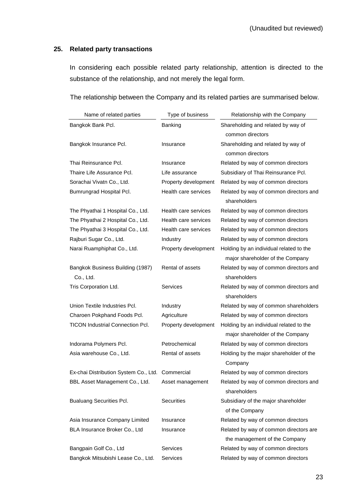## **25. Related party transactions**

 In considering each possible related party relationship, attention is directed to the substance of the relationship, and not merely the legal form.

The relationship between the Company and its related parties are summarised below.

| Name of related parties                          | Type of business     | Relationship with the Company                                               |
|--------------------------------------------------|----------------------|-----------------------------------------------------------------------------|
| Bangkok Bank Pcl.                                | Banking              | Shareholding and related by way of<br>common directors                      |
| Bangkok Insurance Pcl.                           | Insurance            | Shareholding and related by way of<br>common directors                      |
| Thai Reinsurance Pcl.                            | Insurance            | Related by way of common directors                                          |
| Thaire Life Assurance Pcl.                       | Life assurance       | Subsidiary of Thai Reinsurance Pcl.                                         |
| Sorachai Vivatn Co., Ltd.                        | Property development | Related by way of common directors                                          |
| Bumrungrad Hospital Pcl.                         | Health care services | Related by way of common directors and<br>shareholders                      |
| The Phyathai 1 Hospital Co., Ltd.                | Health care services | Related by way of common directors                                          |
| The Phyathai 2 Hospital Co., Ltd.                | Health care services | Related by way of common directors                                          |
| The Phyathai 3 Hospital Co., Ltd.                | Health care services | Related by way of common directors                                          |
| Rajburi Sugar Co., Ltd.                          | Industry             | Related by way of common directors                                          |
| Narai Ruamphiphat Co., Ltd.                      | Property development | Holding by an individual related to the<br>major shareholder of the Company |
| Bangkok Business Building (1987)<br>Co., Ltd.    | Rental of assets     | Related by way of common directors and<br>shareholders                      |
| Tris Corporation Ltd.                            | Services             | Related by way of common directors and<br>shareholders                      |
| Union Textile Industries Pcl.                    | Industry             | Related by way of common shareholders                                       |
| Charoen Pokphand Foods Pcl.                      | Agriculture          | Related by way of common directors                                          |
| <b>TICON Industrial Connection Pcl.</b>          | Property development | Holding by an individual related to the<br>major shareholder of the Company |
| Indorama Polymers Pcl.                           | Petrochemical        | Related by way of common directors                                          |
| Asia warehouse Co., Ltd.                         | Rental of assets     | Holding by the major shareholder of the<br>Company                          |
| Ex-chai Distribution System Co., Ltd. Commercial |                      | Related by way of common directors                                          |
| BBL Asset Management Co., Ltd.                   | Asset management     | Related by way of common directors and<br>shareholders                      |
| <b>Bualuang Securities Pcl.</b>                  | <b>Securities</b>    | Subsidiary of the major shareholder<br>of the Company                       |
| Asia Insurance Company Limited                   | Insurance            | Related by way of common directors                                          |
| BLA Insurance Broker Co., Ltd                    | Insurance            | Related by way of common directors are<br>the management of the Company     |
| Bangpain Golf Co., Ltd                           | Services             | Related by way of common directors                                          |
| Bangkok Mitsubishi Lease Co., Ltd.               | Services             | Related by way of common directors                                          |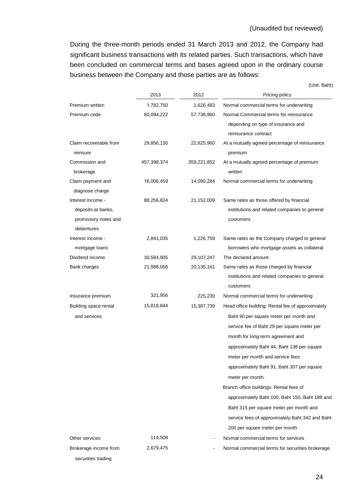During the three-month periods ended 31 March 2013 and 2012, the Company had significant business transactions with its related parties. Such transactions, which have been concluded on commercial terms and bases agreed upon in the ordinary course business between the Company and those parties are as follows:

(Unit: Baht)

|                                    | 2013        | 2012        | Pricing policy                                            |
|------------------------------------|-------------|-------------|-----------------------------------------------------------|
| Premium written                    | 1,782,750   | 1,626,483   | Normal commercial terms for underwriting                  |
| Premium cede                       | 60,094,222  | 57,738,960  | Normal Commercial terms for reinsurance                   |
|                                    |             |             | depending on type of insurance and                        |
|                                    |             |             | reinsurance contract                                      |
| Claim recoverable from<br>reinsure | 29,856,130  | 22,625,960  | At a mutually agreed percentage of reinsurance<br>premium |
| Commission and                     | 457,398,374 | 359,221,852 | At a mutually agreed percentage of premium                |
| brokerage                          |             |             | written                                                   |
| Claim payment and                  | 16,006,459  | 14,090,284  | Normal commercial terms for underwriting                  |
| diagnose charge                    |             |             |                                                           |
| Interest income -                  | 88,256,824  | 21,152,009  | Same rates as those offered by financial                  |
| deposits at banks,                 |             |             | institutions and related companies to general             |
| promissory notes and               |             |             | customers                                                 |
| debentures                         |             |             |                                                           |
| Interest income -                  | 2,841,035   | 1,226,759   | Same rates as the Company charged to general              |
| mortgage loans                     |             |             | borrowers who mortgage assets as collateral               |
| Dividend income                    | 30,584,905  | 29,107,247  | The declared amount                                       |
| Bank charges                       | 21,568,056  | 20,130,161  | Same rates as those charged by financial                  |
|                                    |             |             | institutions and related companies to general             |
|                                    |             |             | customers                                                 |
| Insurance premium                  | 321,956     | 225,230     | Normal commercial terms for underwriting                  |
| Building space rental              | 15,818,844  | 15,387,739  | Head office building: Rental fee of approximately         |
| and services                       |             |             | Baht 90 per square meter per month and                    |
|                                    |             |             | service fee of Baht 29 per square meter per               |
|                                    |             |             | month for long-term agreement and                         |
|                                    |             |             | approximately Baht 44, Baht 138 per square                |
|                                    |             |             | meter per month and service fees                          |
|                                    |             |             | approximately Baht 91, Baht 307 per square                |
|                                    |             |             | meter per month.                                          |
|                                    |             |             | Branch office buildings: Rental fees of                   |
|                                    |             |             | approximately Baht 100, Baht 150, Baht 188 and            |
|                                    |             |             | Baht 315 per square meter per month and                   |
|                                    |             |             | service fees of approximately Baht 342 and Baht           |
|                                    |             |             | 200 per square meter per month.                           |
| Other services                     | 114,508     |             | Normal commercial terms for services                      |
| Brokerage income from              | 2,679,475   |             | Normal commercial terms for securities brokerage          |
| securities trading                 |             |             |                                                           |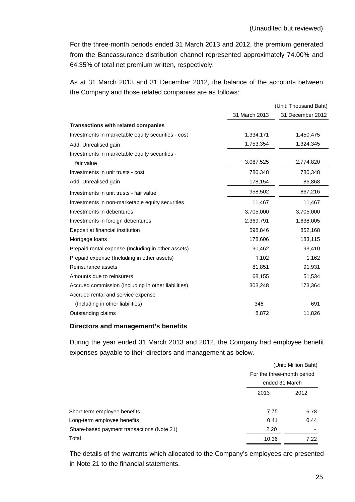For the three-month periods ended 31 March 2013 and 2012, the premium generated from the Bancassurance distribution channel represented approximately 74.00% and 64.35% of total net premium written, respectively.

As at 31 March 2013 and 31 December 2012, the balance of the accounts between the Company and those related companies are as follows:

|                                                     |               | (Unit: Thousand Baht) |
|-----------------------------------------------------|---------------|-----------------------|
|                                                     | 31 March 2013 | 31 December 2012      |
| <b>Transactions with related companies</b>          |               |                       |
| Investments in marketable equity securities - cost  | 1,334,171     | 1,450,475             |
| Add: Unrealised gain                                | 1,753,354     | 1,324,345             |
| Investments in marketable equity securities -       |               |                       |
| fair value                                          | 3,087,525     | 2,774,820             |
| Investments in unit trusts - cost                   | 780,348       | 780,348               |
| Add: Unrealised gain                                | 178,154       | 86,868                |
| Investments in unit trusts - fair value             | 958,502       | 867,216               |
| Investments in non-marketable equity securities     | 11,467        | 11,467                |
| Investments in debentures                           | 3,705,000     | 3,705,000             |
| Investments in foreign debentures                   | 2,369,791     | 1,638,005             |
| Deposit at financial institution                    | 598,846       | 852,168               |
| Mortgage loans                                      | 178,606       | 183,115               |
| Prepaid rental expense (Including in other assets)  | 90,462        | 93,410                |
| Prepaid expense (Including in other assets)         | 1,102         | 1,162                 |
| Reinsurance assets                                  | 81,851        | 91,931                |
| Amounts due to reinsurers                           | 68,155        | 51,534                |
| Accrued commission (Including in other liabilities) | 303,248       | 173,364               |
| Accrued rental and service expense                  |               |                       |
| (Including in other liabilities)                    | 348           | 691                   |
| Outstanding claims                                  | 8,872         | 11,826                |

### **Directors and management's benefits**

 During the year ended 31 March 2013 and 2012, the Company had employee benefit expenses payable to their directors and management as below.

|                                            |                | (Unit: Million Baht)<br>For the three-month period |  |
|--------------------------------------------|----------------|----------------------------------------------------|--|
|                                            |                |                                                    |  |
|                                            | ended 31 March |                                                    |  |
|                                            | 2013           | 2012                                               |  |
|                                            |                |                                                    |  |
| Short-term employee benefits               | 7.75           | 6.78                                               |  |
| Long-term employee benefits                | 0.41           | 0.44                                               |  |
| Share-based payment transactions (Note 21) | 2.20           |                                                    |  |
| Total                                      | 10.36          | 7.22                                               |  |

The details of the warrants which allocated to the Company's employees are presented in Note 21 to the financial statements.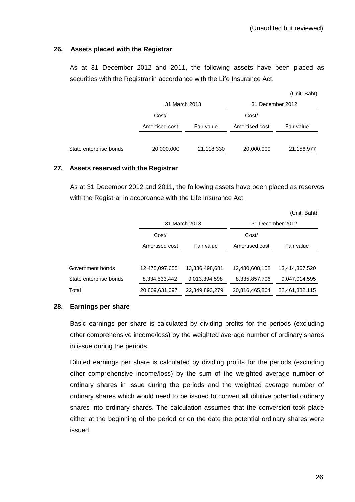### **26. Assets placed with the Registrar**

 As at 31 December 2012 and 2011, the following assets have been placed as securities with the Registrar in accordance with the Life Insurance Act.

|                |            |                  | (Unit: Baht) |
|----------------|------------|------------------|--------------|
|                |            | 31 December 2012 |              |
| Cost/          |            | Cost/            |              |
| Amortised cost | Fair value | Amortised cost   | Fair value   |
|                |            |                  |              |
| 20,000,000     | 21,118,330 | 20,000,000       | 21,156,977   |
|                |            | 31 March 2013    |              |

### **27. Assets reserved with the Registrar**

 As at 31 December 2012 and 2011, the following assets have been placed as reserves with the Registrar in accordance with the Life Insurance Act.

|                        |                |                |                  | (Unit: Baht)   |
|------------------------|----------------|----------------|------------------|----------------|
|                        | 31 March 2013  |                | 31 December 2012 |                |
|                        | Cost/          |                | Cost/            |                |
|                        | Amortised cost | Fair value     | Amortised cost   | Fair value     |
|                        |                |                |                  |                |
| Government bonds       | 12,475,097,655 | 13,336,498,681 | 12,480,608,158   | 13,414,367,520 |
| State enterprise bonds | 8,334,533,442  | 9,013,394,598  | 8,335,857,706    | 9,047,014,595  |
| Total                  | 20,809,631,097 | 22,349,893,279 | 20,816,465,864   | 22,461,382,115 |

### **28. Earnings per share**

 Basic earnings per share is calculated by dividing profits for the periods (excluding other comprehensive income/loss) by the weighted average number of ordinary shares in issue during the periods.

 Diluted earnings per share is calculated by dividing profits for the periods (excluding other comprehensive income/loss) by the sum of the weighted average number of ordinary shares in issue during the periods and the weighted average number of ordinary shares which would need to be issued to convert all dilutive potential ordinary shares into ordinary shares. The calculation assumes that the conversion took place either at the beginning of the period or on the date the potential ordinary shares were issued.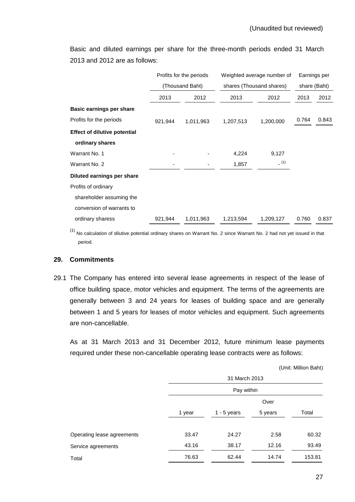Basic and diluted earnings per share for the three-month periods ended 31 March 2013 and 2012 are as follows:

|                                     | Profits for the periods<br>(Thousand Baht) |           | Weighted average number of<br>shares (Thousand shares) |           | Earnings per<br>share (Baht) |       |
|-------------------------------------|--------------------------------------------|-----------|--------------------------------------------------------|-----------|------------------------------|-------|
|                                     |                                            |           |                                                        |           |                              |       |
|                                     | 2013                                       | 2012      | 2013                                                   | 2012      | 2013                         | 2012  |
| Basic earnings per share            |                                            |           |                                                        |           |                              |       |
| Profits for the periods             | 921,944                                    | 1,011,963 | 1,207,513                                              | 1,200,000 | 0.764                        | 0.843 |
| <b>Effect of dilutive potential</b> |                                            |           |                                                        |           |                              |       |
| ordinary shares                     |                                            |           |                                                        |           |                              |       |
| Warrant No. 1                       |                                            |           | 4,224                                                  | 9,127     |                              |       |
| Warrant No. 2                       |                                            |           | 1,857                                                  | (1)       |                              |       |
| Diluted earnings per share          |                                            |           |                                                        |           |                              |       |
| Profits of ordinary                 |                                            |           |                                                        |           |                              |       |
| shareholder assuming the            |                                            |           |                                                        |           |                              |       |
| conversion of warrants to           |                                            |           |                                                        |           |                              |       |
| ordinary sharess                    | 921,944                                    | 1,011,963 | 1,213,594                                              | 1,209,127 | 0.760                        | 0.837 |

 $(1)$  No calculation of dilutive potential ordinary shares on Warrant No. 2 since Warrant No. 2 had not yet issued in that period.

## **29. Commitments**

29.1 The Company has entered into several lease agreements in respect of the lease of office building space, motor vehicles and equipment. The terms of the agreements are generally between 3 and 24 years for leases of building space and are generally between 1 and 5 years for leases of motor vehicles and equipment. Such agreements are non-cancellable.

 As at 31 March 2013 and 31 December 2012, future minimum lease payments required under these non-cancellable operating lease contracts were as follows:

(Unit: Million Baht)

|                            |        | 31 March 2013 |         |        |  |
|----------------------------|--------|---------------|---------|--------|--|
|                            |        | Pay within    |         |        |  |
|                            |        | Over          |         |        |  |
|                            | 1 year | $1 - 5$ years | 5 years | Total  |  |
| Operating lease agreements | 33.47  | 24.27         | 2.58    | 60.32  |  |
| Service agreements         | 43.16  | 38.17         | 12.16   | 93.49  |  |
| Total                      | 76.63  | 62.44         | 14.74   | 153.81 |  |